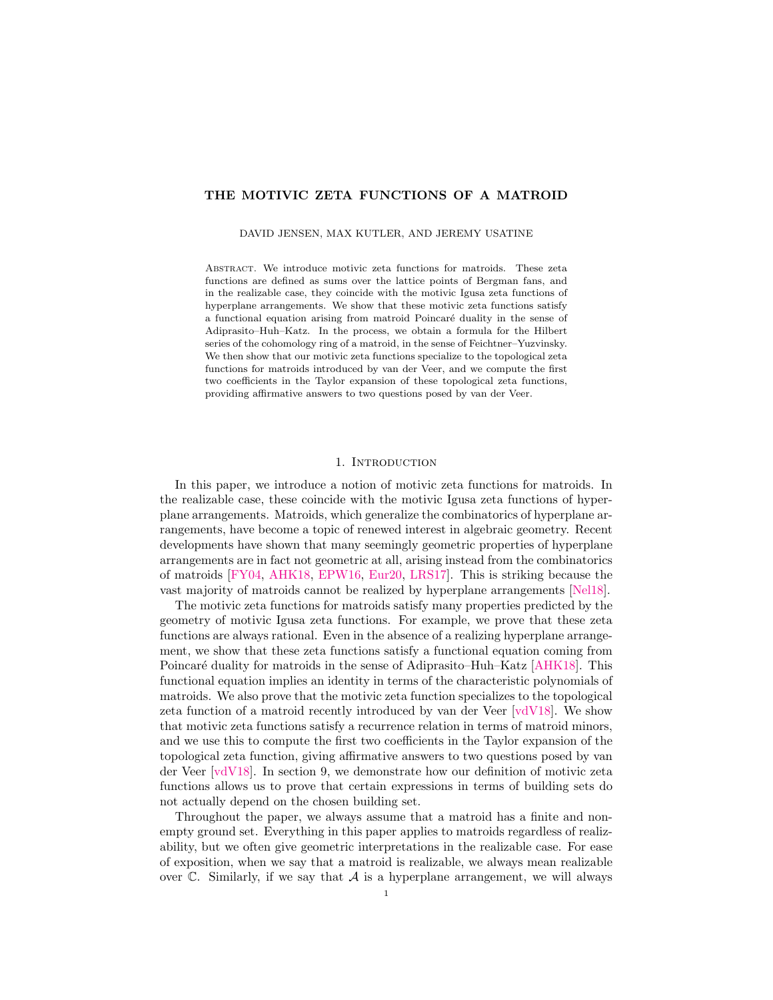## THE MOTIVIC ZETA FUNCTIONS OF A MATROID

DAVID JENSEN, MAX KUTLER, AND JEREMY USATINE

Abstract. We introduce motivic zeta functions for matroids. These zeta functions are defined as sums over the lattice points of Bergman fans, and in the realizable case, they coincide with the motivic Igusa zeta functions of hyperplane arrangements. We show that these motivic zeta functions satisfy a functional equation arising from matroid Poincaré duality in the sense of Adiprasito–Huh–Katz. In the process, we obtain a formula for the Hilbert series of the cohomology ring of a matroid, in the sense of Feichtner–Yuzvinsky. We then show that our motivic zeta functions specialize to the topological zeta functions for matroids introduced by van der Veer, and we compute the first two coefficients in the Taylor expansion of these topological zeta functions, providing affirmative answers to two questions posed by van der Veer.

#### 1. INTRODUCTION

In this paper, we introduce a notion of motivic zeta functions for matroids. In the realizable case, these coincide with the motivic Igusa zeta functions of hyperplane arrangements. Matroids, which generalize the combinatorics of hyperplane arrangements, have become a topic of renewed interest in algebraic geometry. Recent developments have shown that many seemingly geometric properties of hyperplane arrangements are in fact not geometric at all, arising instead from the combinatorics of matroids [\[FY04,](#page-27-0) [AHK18,](#page-26-0) [EPW16,](#page-27-1) [Eur20,](#page-27-2) [LRS17\]](#page-27-3). This is striking because the vast majority of matroids cannot be realized by hyperplane arrangements [\[Nel18\]](#page-27-4).

The motivic zeta functions for matroids satisfy many properties predicted by the geometry of motivic Igusa zeta functions. For example, we prove that these zeta functions are always rational. Even in the absence of a realizing hyperplane arrangement, we show that these zeta functions satisfy a functional equation coming from Poincaré duality for matroids in the sense of Adiprasito–Huh–Katz [\[AHK18\]](#page-26-0). This functional equation implies an identity in terms of the characteristic polynomials of matroids. We also prove that the motivic zeta function specializes to the topological zeta function of a matroid recently introduced by van der Veer [\[vdV18\]](#page-27-5). We show that motivic zeta functions satisfy a recurrence relation in terms of matroid minors, and we use this to compute the first two coefficients in the Taylor expansion of the topological zeta function, giving affirmative answers to two questions posed by van der Veer [\[vdV18\]](#page-27-5). In [section 9,](#page-22-0) we demonstrate how our definition of motivic zeta functions allows us to prove that certain expressions in terms of building sets do not actually depend on the chosen building set.

Throughout the paper, we always assume that a matroid has a finite and nonempty ground set. Everything in this paper applies to matroids regardless of realizability, but we often give geometric interpretations in the realizable case. For ease of exposition, when we say that a matroid is realizable, we always mean realizable over  $\mathbb C$ . Similarly, if we say that  $\mathcal A$  is a hyperplane arrangement, we will always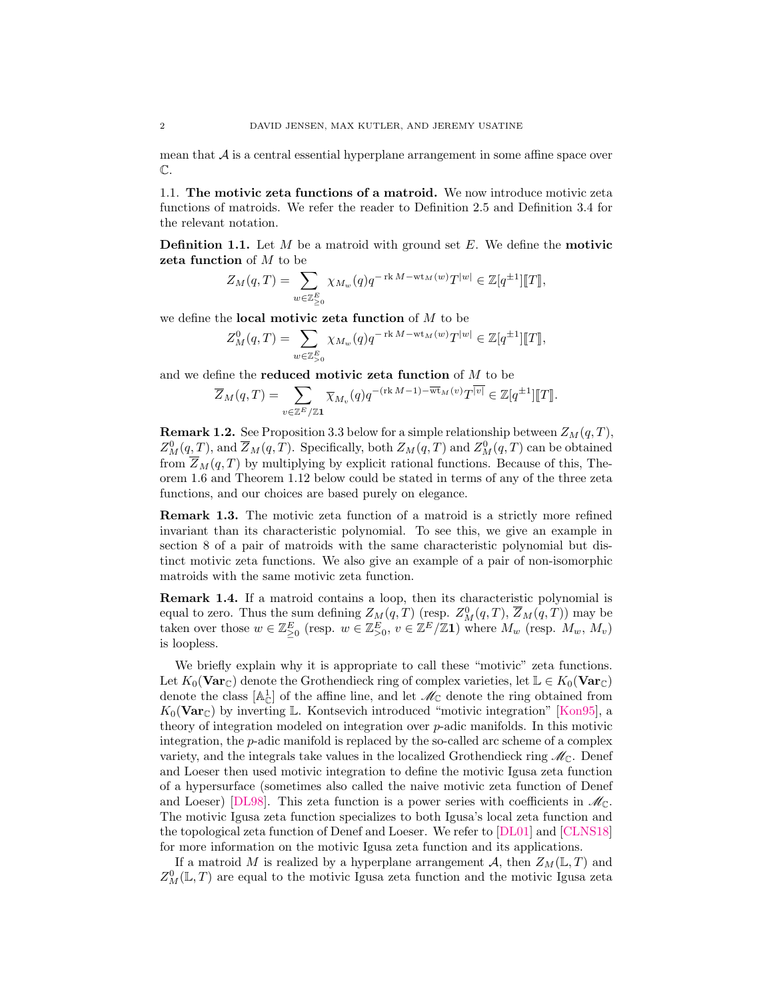mean that  $\mathcal A$  is a central essential hyperplane arrangement in some affine space over  $\mathbb{C}.$ 

1.1. The motivic zeta functions of a matroid. We now introduce motivic zeta functions of matroids. We refer the reader to [Definition 2.5](#page-6-0) and [Definition 3.4](#page-9-0) for the relevant notation.

<span id="page-1-0"></span>**Definition 1.1.** Let  $M$  be a matroid with ground set  $E$ . We define the **motivic** zeta function of M to be

$$
Z_M(q,T) = \sum_{w \in \mathbb{Z}_{\geq 0}^E} \chi_{M_w}(q) q^{-\operatorname{rk} M - \operatorname{wt}_M(w)} T^{|w|} \in \mathbb{Z}[q^{\pm 1}][\![T]\!],
$$

we define the **local motivic zeta function** of  $M$  to be

$$
Z^0_M(q,T)=\sum_{w\in\mathbb{Z}_{>0}^E}\chi_{M_w}(q)q^{-\operatorname{rk} M-\operatorname{wt}_M(w)}T^{|w|}\in\mathbb{Z}[q^{\pm 1}]\llbracket T\rrbracket,
$$

and we define the **reduced motivic zeta function** of  $M$  to be

$$
\overline{Z}_M(q,T) = \sum_{v \in \mathbb{Z}^E/\mathbb{Z} \mathbf{1}} \overline{\chi}_{M_v}(q) q^{-(\operatorname{rk} M - 1) - \overline{\operatorname{wt}}_M(v)} T^{\overline{|v|}} \in \mathbb{Z}[q^{\pm 1}][\![T]\!].
$$

**Remark 1.2.** See [Proposition 3.3](#page-9-1) below for a simple relationship between  $Z_M(q, T)$ ,  $Z_M^0(q,T)$ , and  $\overline{Z}_M(q,T)$ . Specifically, both  $Z_M(q,T)$  and  $Z_M^0(q,T)$  can be obtained from  $Z_M(q,T)$  by multiplying by explicit rational functions. Because of this, [The](#page-2-0)[orem 1.6](#page-2-0) and [Theorem 1.12](#page-4-0) below could be stated in terms of any of the three zeta functions, and our choices are based purely on elegance.

Remark 1.3. The motivic zeta function of a matroid is a strictly more refined invariant than its characteristic polynomial. To see this, we give an example in [section 8](#page-21-0) of a pair of matroids with the same characteristic polynomial but distinct motivic zeta functions. We also give an example of a pair of non-isomorphic matroids with the same motivic zeta function.

Remark 1.4. If a matroid contains a loop, then its characteristic polynomial is equal to zero. Thus the sum defining  $Z_M(q,T)$  (resp.  $Z_M^0(q,T)$ ,  $\overline{Z}_M(q,T)$ ) may be taken over those  $w \in \mathbb{Z}_{\geq 0}^E$  (resp.  $w \in \mathbb{Z}_{\geq 0}^E$ ,  $v \in \mathbb{Z}^E/\mathbb{Z}$ 1) where  $M_w$  (resp.  $M_w$ ,  $M_v$ ) is loopless.

We briefly explain why it is appropriate to call these "motivic" zeta functions. Let  $K_0(\textbf{Var}_{\mathbb{C}})$  denote the Grothendieck ring of complex varieties, let  $\mathbb{L} \in K_0(\textbf{Var}_{\mathbb{C}})$ denote the class  $[A_{\mathbb{C}}^1]$  of the affine line, and let  $\mathcal{M}_{\mathbb{C}}$  denote the ring obtained from  $K_0(\text{Var}_{\mathbb{C}})$  by inverting L. Kontsevich introduced "motivic integration" [\[Kon95\]](#page-27-6), a theory of integration modeled on integration over p-adic manifolds. In this motivic integration, the p-adic manifold is replaced by the so-called arc scheme of a complex variety, and the integrals take values in the localized Grothendieck ring  $\mathcal{M}_{\mathbb{C}}$ . Denef and Loeser then used motivic integration to define the motivic Igusa zeta function of a hypersurface (sometimes also called the naive motivic zeta function of Denef and Loeser) [\[DL98\]](#page-27-7). This zeta function is a power series with coefficients in  $\mathcal{M}_{\mathbb{C}}$ . The motivic Igusa zeta function specializes to both Igusa's local zeta function and the topological zeta function of Denef and Loeser. We refer to [\[DL01\]](#page-27-8) and [\[CLNS18\]](#page-27-9) for more information on the motivic Igusa zeta function and its applications.

If a matroid M is realized by a hyperplane arrangement A, then  $Z_M(\mathbb{L}, T)$  and  $Z_M^0(\mathbb{L}, T)$  are equal to the motivic Igusa zeta function and the motivic Igusa zeta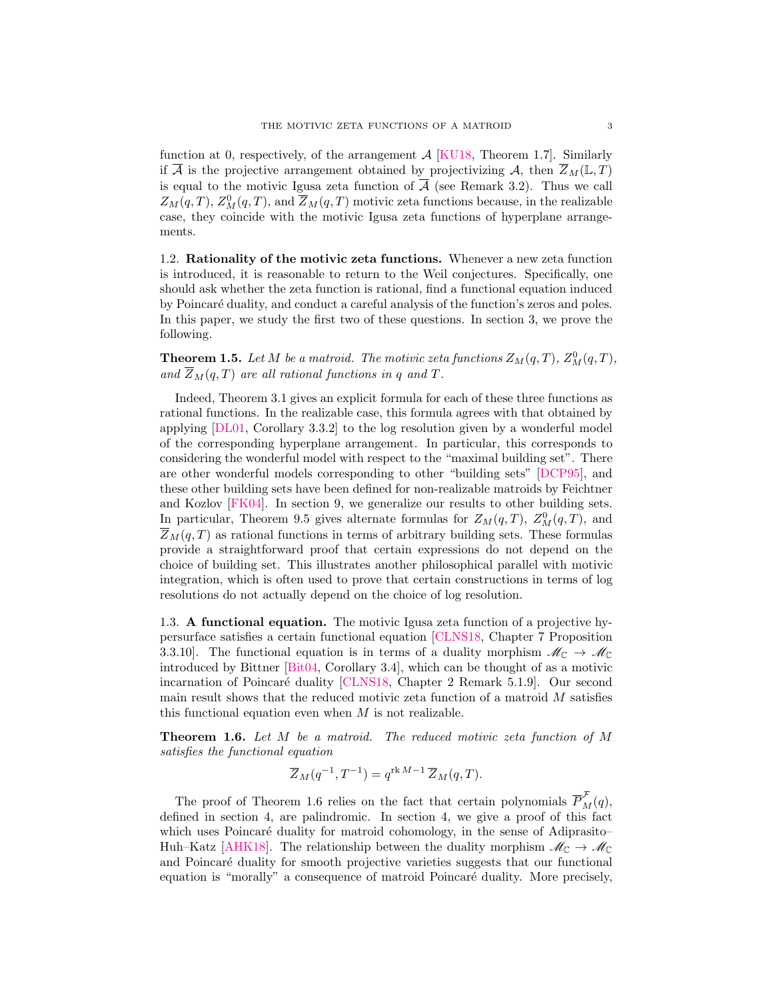function at 0, respectively, of the arrangement  $A$  [\[KU18,](#page-27-10) Theorem 1.7]. Similarly if  $\overline{A}$  is the projective arrangement obtained by projectivizing A, then  $\overline{Z}_M(\mathbb{L}, T)$ is equal to the motivic Igusa zeta function of  $\overline{A}$  (see [Remark 3.2\)](#page-9-2). Thus we call  $Z_M(q,T)$ ,  $Z_M^0(q,T)$ , and  $\overline{Z}_M(q,T)$  motivic zeta functions because, in the realizable case, they coincide with the motivic Igusa zeta functions of hyperplane arrangements.

1.2. Rationality of the motivic zeta functions. Whenever a new zeta function is introduced, it is reasonable to return to the Weil conjectures. Specifically, one should ask whether the zeta function is rational, find a functional equation induced by Poincaré duality, and conduct a careful analysis of the function's zeros and poles. In this paper, we study the first two of these questions. In [section 3,](#page-8-0) we prove the following.

**Theorem 1.5.** Let M be a matroid. The motivic zeta functions  $Z_M(q,T)$ ,  $Z_M^0(q,T)$ , and  $\overline{Z}_M(q,T)$  are all rational functions in q and T.

Indeed, [Theorem 3.1](#page-8-1) gives an explicit formula for each of these three functions as rational functions. In the realizable case, this formula agrees with that obtained by applying [\[DL01,](#page-27-8) Corollary 3.3.2] to the log resolution given by a wonderful model of the corresponding hyperplane arrangement. In particular, this corresponds to considering the wonderful model with respect to the "maximal building set". There are other wonderful models corresponding to other "building sets" [\[DCP95\]](#page-27-11), and these other building sets have been defined for non-realizable matroids by Feichtner and Kozlov [\[FK04\]](#page-27-12). In [section 9,](#page-22-0) we generalize our results to other building sets. In particular, [Theorem 9.5](#page-23-0) gives alternate formulas for  $Z_M(q,T)$ ,  $Z_M^0(q,T)$ , and  $\overline{Z}_M(q,T)$  as rational functions in terms of arbitrary building sets. These formulas provide a straightforward proof that certain expressions do not depend on the choice of building set. This illustrates another philosophical parallel with motivic integration, which is often used to prove that certain constructions in terms of log resolutions do not actually depend on the choice of log resolution.

1.3. A functional equation. The motivic Igusa zeta function of a projective hypersurface satisfies a certain functional equation [\[CLNS18,](#page-27-9) Chapter 7 Proposition 3.3.10]. The functional equation is in terms of a duality morphism  $\mathcal{M}_{\mathbb{C}} \to \mathcal{M}_{\mathbb{C}}$ introduced by Bittner [\[Bit04,](#page-26-1) Corollary 3.4], which can be thought of as a motivic incarnation of Poincaré duality [\[CLNS18,](#page-27-9) Chapter 2 Remark 5.1.9]. Our second main result shows that the reduced motivic zeta function of a matroid  $M$  satisfies this functional equation even when  $M$  is not realizable.

<span id="page-2-0"></span>Theorem 1.6. Let M be a matroid. The reduced motivic zeta function of M satisfies the functional equation

$$
\overline{Z}_M(q^{-1}, T^{-1}) = q^{\text{rk }M-1} \, \overline{Z}_M(q, T).
$$

The proof of [Theorem 1.6](#page-2-0) relies on the fact that certain polynomials  $\overline{P}_M^{\mathcal{F}}(q)$ , defined in [section 4,](#page-11-0) are palindromic. In [section 4,](#page-11-0) we give a proof of this fact which uses Poincaré duality for matroid cohomology, in the sense of Adiprasito– Huh–Katz [\[AHK18\]](#page-26-0). The relationship between the duality morphism  $\mathcal{M}_{\mathbb{C}} \to \mathcal{M}_{\mathbb{C}}$ and Poincaré duality for smooth projective varieties suggests that our functional equation is "morally" a consequence of matroid Poincaré duality. More precisely,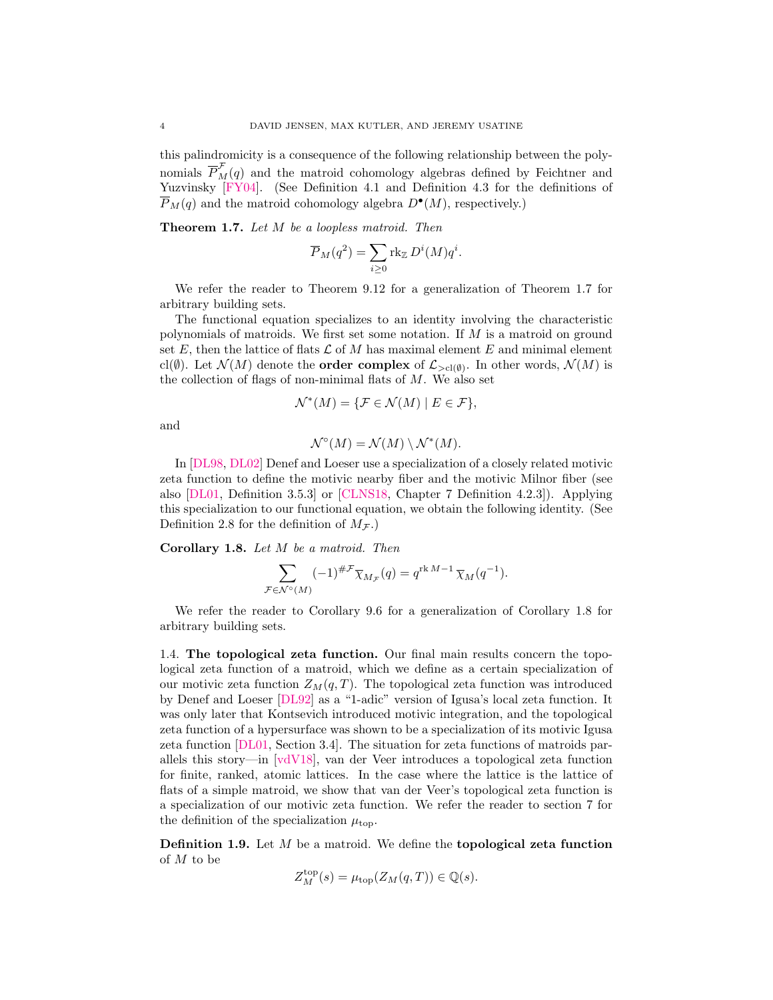this palindromicity is a consequence of the following relationship between the polynomials  $\overline{P}_{M}^{\mathcal{F}}(q)$  and the matroid cohomology algebras defined by Feichtner and Yuzvinsky [\[FY04\]](#page-27-0). (See [Definition 4.1](#page-11-1) and [Definition 4.3](#page-11-2) for the definitions of  $\overline{P}_M(q)$  and the matroid cohomology algebra  $D^{\bullet}(M)$ , respectively.)

<span id="page-3-0"></span>Theorem 1.7. Let M be a loopless matroid. Then

$$
\overline{P}_M(q^2) = \sum_{i \ge 0} \text{rk}_{\mathbb{Z}} D^i(M) q^i.
$$

We refer the reader to [Theorem 9.12](#page-25-0) for a generalization of [Theorem 1.7](#page-3-0) for arbitrary building sets.

The functional equation specializes to an identity involving the characteristic polynomials of matroids. We first set some notation. If M is a matroid on ground set E, then the lattice of flats  $\mathcal L$  of M has maximal element E and minimal element cl( $\emptyset$ ). Let  $\mathcal{N}(M)$  denote the **order complex** of  $\mathcal{L}_{>cl(\emptyset)}$ . In other words,  $\mathcal{N}(M)$  is the collection of flags of non-minimal flats of  $M$ . We also set

$$
\mathcal{N}^*(M) = \{ \mathcal{F} \in \mathcal{N}(M) \mid E \in \mathcal{F} \},\
$$

and

$$
\mathcal{N}^{\circ}(M) = \mathcal{N}(M) \setminus \mathcal{N}^*(M).
$$

In [\[DL98,](#page-27-7) [DL02\]](#page-27-13) Denef and Loeser use a specialization of a closely related motivic zeta function to define the motivic nearby fiber and the motivic Milnor fiber (see also [\[DL01,](#page-27-8) Definition 3.5.3] or [\[CLNS18,](#page-27-9) Chapter 7 Definition 4.2.3]). Applying this specialization to our functional equation, we obtain the following identity. (See [Definition 2.8](#page-7-0) for the definition of  $M_{\mathcal{F}}$ .)

<span id="page-3-1"></span>Corollary 1.8. Let M be a matroid. Then

$$
\sum_{\mathcal{F}\in\mathcal{N}^{\circ}(M)} (-1)^{\# \mathcal{F}} \overline{\chi}_{M_{\mathcal{F}}}(q) = q^{\text{rk }M-1} \overline{\chi}_M(q^{-1}).
$$

We refer the reader to [Corollary 9.6](#page-24-0) for a generalization of [Corollary 1.8](#page-3-1) for arbitrary building sets.

1.4. The topological zeta function. Our final main results concern the topological zeta function of a matroid, which we define as a certain specialization of our motivic zeta function  $Z_M(q,T)$ . The topological zeta function was introduced by Denef and Loeser [\[DL92\]](#page-27-14) as a "1-adic" version of Igusa's local zeta function. It was only later that Kontsevich introduced motivic integration, and the topological zeta function of a hypersurface was shown to be a specialization of its motivic Igusa zeta function [\[DL01,](#page-27-8) Section 3.4]. The situation for zeta functions of matroids parallels this story—in [\[vdV18\]](#page-27-5), van der Veer introduces a topological zeta function for finite, ranked, atomic lattices. In the case where the lattice is the lattice of flats of a simple matroid, we show that van der Veer's topological zeta function is a specialization of our motivic zeta function. We refer the reader to [section 7](#page-17-0) for the definition of the specialization  $\mu_{\text{top}}$ .

**Definition 1.9.** Let  $M$  be a matroid. We define the **topological zeta function** of M to be

$$
Z_M^{\mathrm{top}}(s) = \mu_{\mathrm{top}}(Z_M(q,T)) \in \mathbb{Q}(s).
$$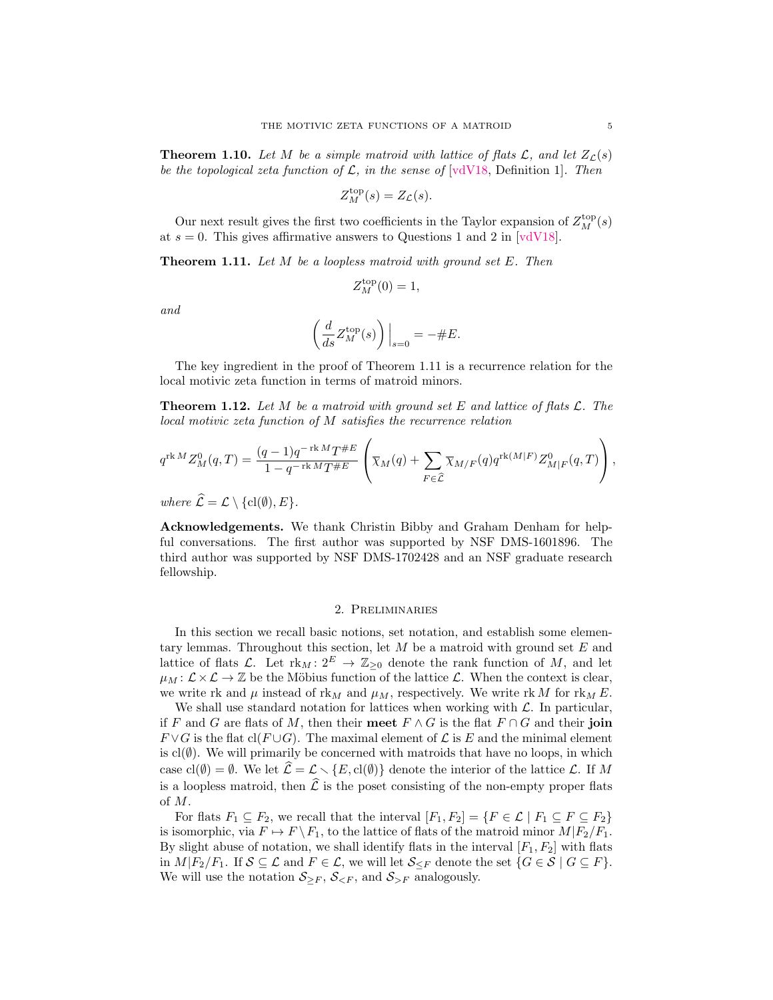<span id="page-4-2"></span>**Theorem 1.10.** Let M be a simple matroid with lattice of flats  $\mathcal{L}$ , and let  $Z_{\mathcal{L}}(s)$ be the topological zeta function of  $\mathcal{L}$ , in the sense of [\[vdV18,](#page-27-5) Definition 1]. Then

$$
Z_M^{\text{top}}(s) = Z_{\mathcal{L}}(s).
$$

Our next result gives the first two coefficients in the Taylor expansion of  $Z_M^{\mathrm{top}}(s)$ at  $s = 0$ . This gives affirmative answers to Questions 1 and 2 in [\[vdV18\]](#page-27-5).

<span id="page-4-1"></span>**Theorem 1.11.** Let  $M$  be a loopless matroid with ground set  $E$ . Then

$$
Z_M^{\rm top}(0) = 1,
$$

and

$$
\left(\frac{d}{ds}Z_M^{\text{top}}(s)\right)\Big|_{s=0} = -\#E.
$$

The key ingredient in the proof of [Theorem 1.11](#page-4-1) is a recurrence relation for the local motivic zeta function in terms of matroid minors.

<span id="page-4-0"></span>**Theorem 1.12.** Let M be a matroid with ground set E and lattice of flats  $\mathcal{L}$ . The local motivic zeta function of M satisfies the recurrence relation

$$
q^{\operatorname{rk} M} Z_M^0(q,T) = \frac{(q-1)q^{-\operatorname{rk} M} T^{\#E}}{1-q^{-\operatorname{rk} M} T^{\#E}} \left( \overline{\chi}_M(q) + \sum_{F \in \widehat{\mathcal{L}}} \overline{\chi}_{M/F}(q) q^{\operatorname{rk}(M|F)} Z_{M|F}^0(q,T) \right),
$$

where  $\widehat{\mathcal{L}} = \mathcal{L} \setminus \{ \text{cl}(\emptyset), E \}.$ 

Acknowledgements. We thank Christin Bibby and Graham Denham for helpful conversations. The first author was supported by NSF DMS-1601896. The third author was supported by NSF DMS-1702428 and an NSF graduate research fellowship.

#### 2. Preliminaries

In this section we recall basic notions, set notation, and establish some elementary lemmas. Throughout this section, let  $M$  be a matroid with ground set  $E$  and lattice of flats L. Let  $\mathrm{rk}_M: 2^E \to \mathbb{Z}_{\geq 0}$  denote the rank function of M, and let  $\mu_M: \mathcal{L} \times \mathcal{L} \to \mathbb{Z}$  be the Möbius function of the lattice  $\mathcal{L}$ . When the context is clear, we write rk and  $\mu$  instead of rk<sub>M</sub> and  $\mu$ <sub>M</sub>, respectively. We write rk M for rk<sub>M</sub> E.

We shall use standard notation for lattices when working with  $\mathcal{L}$ . In particular, if F and G are flats of M, then their meet  $F \wedge G$  is the flat  $F \cap G$  and their join  $F \vee G$  is the flat cl( $F \cup G$ ). The maximal element of  $\mathcal L$  is E and the minimal element is  $cl(\emptyset)$ . We will primarily be concerned with matroids that have no loops, in which case cl( $\emptyset$ ) =  $\emptyset$ . We let  $\hat{\mathcal{L}} = \mathcal{L} \setminus \{E, cl(\emptyset)\}\$  denote the interior of the lattice  $\mathcal{L}$ . If M is a loopless matroid, then  $\hat{\mathcal{L}}$  is the poset consisting of the non-empty proper flats of M.

For flats  $F_1 \subseteq F_2$ , we recall that the interval  $[F_1, F_2] = \{F \in \mathcal{L} \mid F_1 \subseteq F \subseteq F_2\}$ is isomorphic, via  $F \mapsto F \backslash F_1$ , to the lattice of flats of the matroid minor  $M|F_2/F_1$ . By slight abuse of notation, we shall identify flats in the interval  $[F_1, F_2]$  with flats in  $M|F_2/F_1$ . If  $S \subseteq \mathcal{L}$  and  $F \in \mathcal{L}$ , we will let  $\mathcal{S}_{\leq F}$  denote the set  $\{G \in \mathcal{S} \mid G \subseteq F\}$ . We will use the notation  $S_{\geq F}$ ,  $S_{\leq F}$ , and  $S_{\geq F}$  analogously.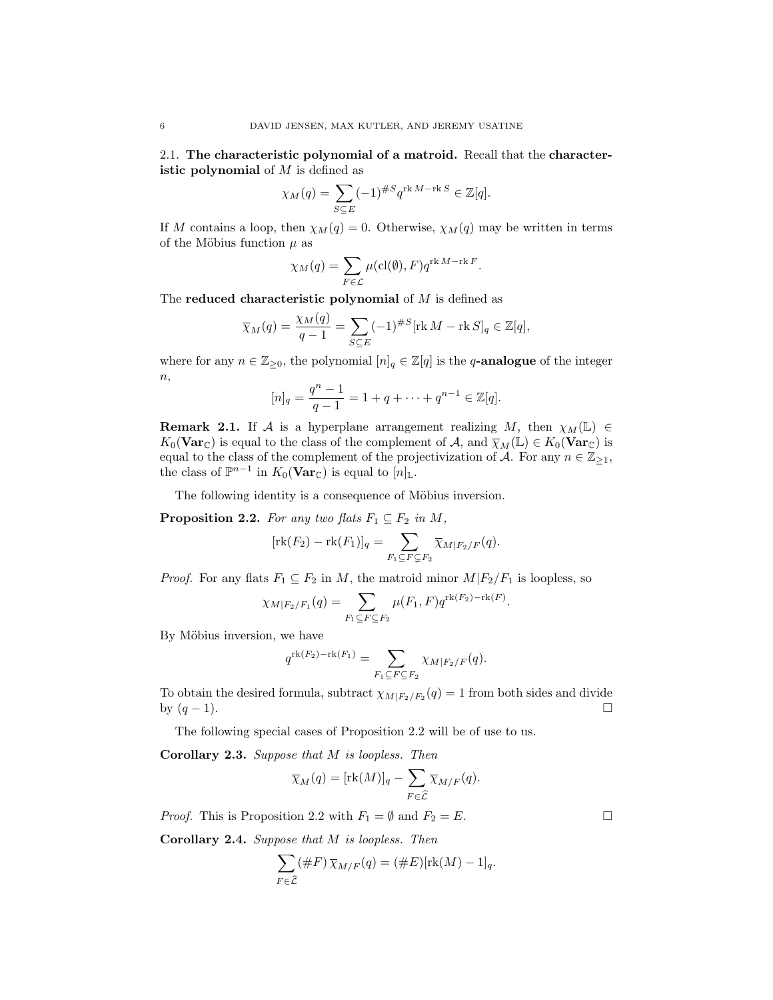2.1. The characteristic polynomial of a matroid. Recall that the characteristic polynomial of  $M$  is defined as

$$
\chi_M(q) = \sum_{S \subseteq E} (-1)^{\#S} q^{\operatorname{rk} M - \operatorname{rk} S} \in \mathbb{Z}[q].
$$

If M contains a loop, then  $\chi_M(q) = 0$ . Otherwise,  $\chi_M(q)$  may be written in terms of the Möbius function  $\mu$  as

$$
\chi_M(q) = \sum_{F \in \mathcal{L}} \mu(\mathrm{cl}(\emptyset), F) q^{\mathrm{rk}\,M - \mathrm{rk}\,F}.
$$

The reduced characteristic polynomial of  $M$  is defined as

$$
\overline{\chi}_M(q) = \frac{\chi_M(q)}{q-1} = \sum_{S \subseteq E} (-1)^{\#S} [\text{rk } M - \text{rk } S]_q \in \mathbb{Z}[q],
$$

where for any  $n \in \mathbb{Z}_{\geq 0}$ , the polynomial  $[n]_q \in \mathbb{Z}[q]$  is the q-analogue of the integer  $\overline{n},$ 

$$
[n]_q = \frac{q^n - 1}{q - 1} = 1 + q + \dots + q^{n-1} \in \mathbb{Z}[q].
$$

**Remark 2.1.** If A is a hyperplane arrangement realizing M, then  $\chi_M(\mathbb{L}) \in$  $K_0(\textbf{Var}_{\mathbb{C}})$  is equal to the class of the complement of A, and  $\overline{\chi}_M(\mathbb{L}) \in K_0(\textbf{Var}_{\mathbb{C}})$  is equal to the class of the complement of the projectivization of A. For any  $n \in \mathbb{Z}_{\geq 1}$ , the class of  $\mathbb{P}^{n-1}$  in  $K_0(\textbf{Var}_{\mathbb{C}})$  is equal to  $[n]_{\mathbb{L}}$ .

The following identity is a consequence of Möbius inversion.

<span id="page-5-0"></span>**Proposition 2.2.** For any two flats  $F_1 \subseteq F_2$  in M,

$$
[\mathrm{rk}(F_2) - \mathrm{rk}(F_1)]_q = \sum_{F_1 \subseteq F \subsetneq F_2} \overline{\chi}_{M \mid F_2/F}(q).
$$

*Proof.* For any flats  $F_1 \subseteq F_2$  in M, the matroid minor  $M/F_2/F_1$  is loopless, so

$$
\chi_{M|F_2/F_1}(q) = \sum_{F_1 \subseteq F \subseteq F_2} \mu(F_1, F) q^{\text{rk}(F_2) - \text{rk}(F)}.
$$

By Möbius inversion, we have

$$
q^{\operatorname{rk}(F_2)-\operatorname{rk}(F_1)}=\sum_{F_1\subseteq F\subseteq F_2}\chi_{M\vert F_2/F}(q).
$$

To obtain the desired formula, subtract  $\chi_{M|F_2/F_2}(q) = 1$  from both sides and divide by  $(q-1)$ .

The following special cases of [Proposition 2.2](#page-5-0) will be of use to us.

<span id="page-5-1"></span>Corollary 2.3. Suppose that M is loopless. Then

$$
\overline{\chi}_M(q) = [\text{rk}(M)]_q - \sum_{F \in \widehat{\mathcal{L}}} \overline{\chi}_{M/F}(q).
$$

*Proof.* This is [Proposition 2.2](#page-5-0) with  $F_1 = \emptyset$  and  $F_2 = E$ .

<span id="page-5-2"></span>Corollary 2.4. Suppose that M is loopless. Then

$$
\sum_{F \in \widehat{\mathcal{L}}} (\#F) \overline{\chi}_{M/F}(q) = (\#E)[\text{rk}(M) - 1]_q.
$$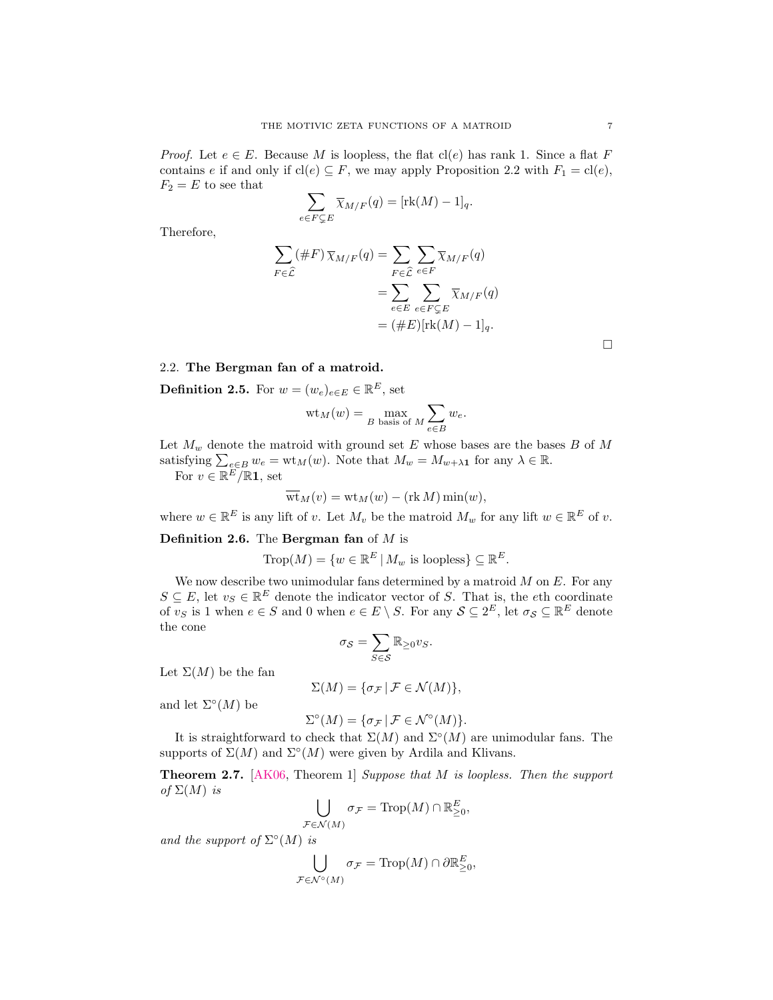*Proof.* Let  $e \in E$ . Because M is loopless, the flat cl(e) has rank 1. Since a flat F contains e if and only if  $\text{cl}(e) \subseteq F$ , we may apply [Proposition 2.2](#page-5-0) with  $F_1 = \text{cl}(e)$ ,  $F_2 = E$  to see that

$$
\sum_{e \in F \subsetneq E} \overline{\chi}_{M/F}(q) = [\text{rk}(M) - 1]_q.
$$

Therefore,

$$
\sum_{F \in \widehat{\mathcal{L}}} (\#F) \overline{\chi}_{M/F}(q) = \sum_{F \in \widehat{\mathcal{L}}} \sum_{e \in F} \overline{\chi}_{M/F}(q)
$$

$$
= \sum_{e \in E} \sum_{e \in F \subsetneq E} \overline{\chi}_{M/F}(q)
$$

$$
= (\#E)[\text{rk}(M) - 1]_q.
$$

# <span id="page-6-1"></span>2.2. The Bergman fan of a matroid.

<span id="page-6-0"></span>**Definition 2.5.** For  $w = (w_e)_{e \in E} \in \mathbb{R}^E$ , set

$$
wt_M(w) = \max_{B \text{ basis of } M} \sum_{e \in B} w_e.
$$

Let  $M_w$  denote the matroid with ground set E whose bases are the bases B of M satisfying  $\sum_{e \in B} w_e = \text{wt}_M(w)$ . Note that  $M_w = M_{w + \lambda \mathbf{1}}$  for any  $\lambda \in \mathbb{R}$ .

For  $v \in \mathbb{R}^E / \mathbb{R}$ **1**, set

$$
\overline{\mathrm{wt}}_M(v) = \mathrm{wt}_M(w) - (\mathrm{rk}\,M)\min(w),
$$

where  $w \in \mathbb{R}^E$  is any lift of v. Let  $M_v$  be the matroid  $M_w$  for any lift  $w \in \mathbb{R}^E$  of v.

## **Definition 2.6.** The **Bergman** fan of  $M$  is

$$
\operatorname{Trop}(M) = \{ w \in \mathbb{R}^E \, | \, M_w \text{ is loopless} \} \subseteq \mathbb{R}^E.
$$

We now describe two unimodular fans determined by a matroid  $M$  on  $E$ . For any  $S \subseteq E$ , let  $v_S \in \mathbb{R}^E$  denote the indicator vector of S. That is, the eth coordinate of  $v_S$  is 1 when  $e \in S$  and 0 when  $e \in E \setminus S$ . For any  $S \subseteq 2^E$ , let  $\sigma_S \subseteq \mathbb{R}^E$  denote the cone

$$
\sigma_{\mathcal{S}} = \sum_{S \in \mathcal{S}} \mathbb{R}_{\geq 0} v_S.
$$

Let  $\Sigma(M)$  be the fan

$$
\Sigma(M) = \{ \sigma_{\mathcal{F}} \, | \, \mathcal{F} \in \mathcal{N}(M) \},
$$

and let  $\Sigma^{\circ}(M)$  be

$$
\Sigma^{\circ}(M) = \{ \sigma_{\mathcal{F}} \, | \, \mathcal{F} \in \mathcal{N}^{\circ}(M) \}.
$$

It is straightforward to check that  $\Sigma(M)$  and  $\Sigma^{\circ}(M)$  are unimodular fans. The supports of  $\Sigma(M)$  and  $\Sigma^{\circ}(M)$  were given by Ardila and Klivans.

**Theorem 2.7.** [\[AK06,](#page-26-2) Theorem 1] Suppose that M is loopless. Then the support of  $\Sigma(M)$  is

$$
\bigcup_{\mathcal{F}\in\mathcal{N}(M)}\sigma_{\mathcal{F}}=\mathrm{Trop}(M)\cap\mathbb{R}_{\geq 0}^E,
$$

and the support of  $\Sigma^{\circ}(M)$  is

$$
\bigcup_{\mathcal{F}\in\mathcal{N}^{\circ}(M)}\sigma_{\mathcal{F}}=\mathrm{Trop}(M)\cap\partial\mathbb{R}_{\geq 0}^E,
$$

 $\Box$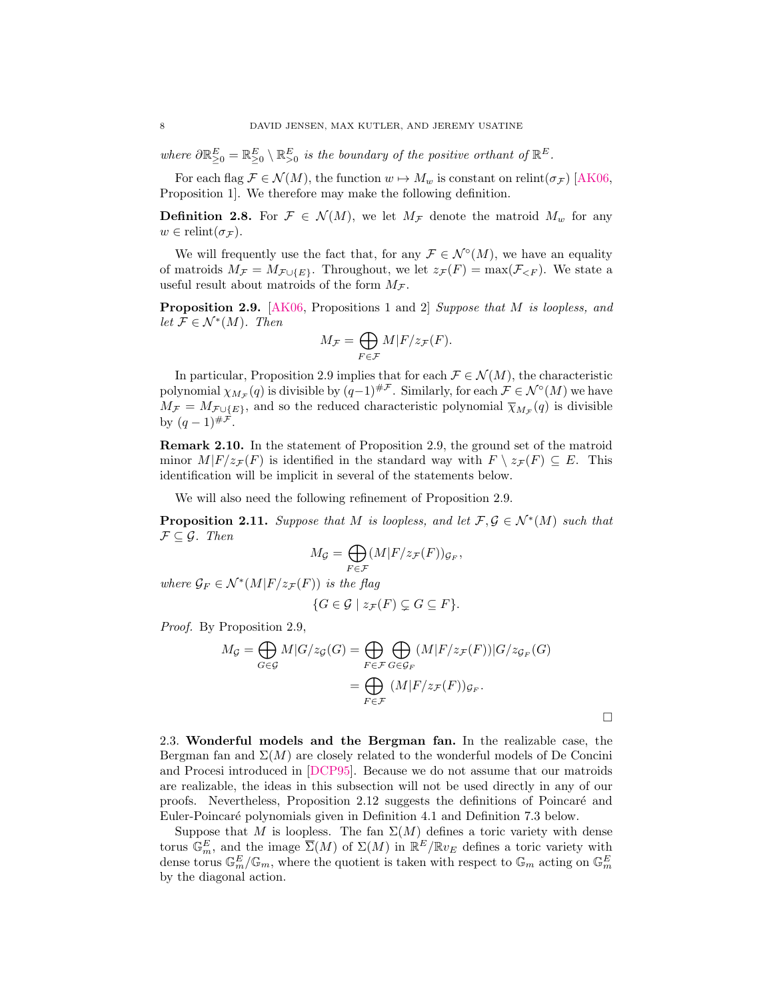where  $\partial \mathbb{R}_{\geq 0}^E = \mathbb{R}_{\geq 0}^E \setminus \mathbb{R}_{\geq 0}^E$  is the boundary of the positive orthant of  $\mathbb{R}^E$ .

For each flag  $\mathcal{F} \in \mathcal{N}(M)$ , the function  $w \mapsto M_w$  is constant on relint( $\sigma_{\mathcal{F}}$ ) [\[AK06,](#page-26-2) Proposition 1]. We therefore may make the following definition.

<span id="page-7-0"></span>**Definition 2.8.** For  $\mathcal{F} \in \mathcal{N}(M)$ , we let  $M_{\mathcal{F}}$  denote the matroid  $M_{w}$  for any  $w \in \text{relint}(\sigma_{\mathcal{F}})$ .

We will frequently use the fact that, for any  $\mathcal{F} \in \mathcal{N}^{\circ}(M)$ , we have an equality of matroids  $M_{\mathcal{F}} = M_{\mathcal{F} \cup \{E\}}$ . Throughout, we let  $z_{\mathcal{F}}(F) = \max(\mathcal{F}_{\leq F})$ . We state a useful result about matroids of the form  $M_{\mathcal{F}}$ .

<span id="page-7-1"></span>**Proposition 2.9.** [\[AK06,](#page-26-2) Propositions 1 and 2] Suppose that M is loopless, and let  $\mathcal{F} \in \mathcal{N}^*(M)$ . Then

$$
M_{\mathcal{F}} = \bigoplus_{F \in \mathcal{F}} M|F/z_{\mathcal{F}}(F).
$$

In particular, [Proposition 2.9](#page-7-1) implies that for each  $\mathcal{F} \in \mathcal{N}(M)$ , the characteristic polynomial  $\chi_{M_{\mathcal{F}}}(q)$  is divisible by  $(q-1)^{\# \mathcal{F}}$ . Similarly, for each  $\mathcal{F} \in \mathcal{N}^{\circ}(M)$  we have  $M_{\mathcal{F}} = M_{\mathcal{F} \cup \{E\}}$ , and so the reduced characteristic polynomial  $\overline{\chi}_{M_{\mathcal{F}}}(q)$  is divisible by  $(q-1)^{|\# \hat{\mathcal{F}}}|$ .

Remark 2.10. In the statement of [Proposition 2.9,](#page-7-1) the ground set of the matroid minor  $M|F/z_{\mathcal{F}}(F)$  is identified in the standard way with  $F \setminus z_{\mathcal{F}}(F) \subseteq E$ . This identification will be implicit in several of the statements below.

We will also need the following refinement of [Proposition 2.9.](#page-7-1)

<span id="page-7-2"></span>**Proposition 2.11.** Suppose that M is loopless, and let  $\mathcal{F}, \mathcal{G} \in \mathcal{N}^*(M)$  such that  $\mathcal{F} \subseteq \mathcal{G}$ . Then

$$
M_{\mathcal{G}} = \bigoplus_{F \in \mathcal{F}} (M|F/z_{\mathcal{F}}(F))_{\mathcal{G}_F},
$$

where  $\mathcal{G}_F \in \mathcal{N}^*(M|F/z_{\mathcal{F}}(F))$  is the flag

$$
\{G \in \mathcal{G} \mid z_{\mathcal{F}}(F) \subsetneq G \subseteq F\}.
$$

Proof. By [Proposition 2.9,](#page-7-1)

$$
M_{\mathcal{G}} = \bigoplus_{G \in \mathcal{G}} M|G/z_{\mathcal{G}}(G) = \bigoplus_{F \in \mathcal{F}} \bigoplus_{G \in \mathcal{G}_F} (M|F/z_{\mathcal{F}}(F))|G/z_{\mathcal{G}_F}(G)
$$

$$
= \bigoplus_{F \in \mathcal{F}} (M|F/z_{\mathcal{F}}(F))_{\mathcal{G}_F}.
$$

 $\Box$ 

2.3. Wonderful models and the Bergman fan. In the realizable case, the Bergman fan and  $\Sigma(M)$  are closely related to the wonderful models of De Concini and Procesi introduced in [\[DCP95\]](#page-27-11). Because we do not assume that our matroids are realizable, the ideas in this subsection will not be used directly in any of our proofs. Nevertheless, [Proposition 2.12](#page-8-2) suggests the definitions of Poincar´e and Euler-Poincar´e polynomials given in [Definition 4.1](#page-11-1) and [Definition 7.3](#page-19-0) below.

Suppose that M is loopless. The fan  $\Sigma(M)$  defines a toric variety with dense torus  $\mathbb{G}_m^E$ , and the image  $\overline{\Sigma}(M)$  of  $\Sigma(M)$  in  $\mathbb{R}^E/\mathbb{R}v_E$  defines a toric variety with dense torus  $\mathbb{G}_m^E/\mathbb{G}_m$ , where the quotient is taken with respect to  $\mathbb{G}_m$  acting on  $\mathbb{G}_m^E$ by the diagonal action.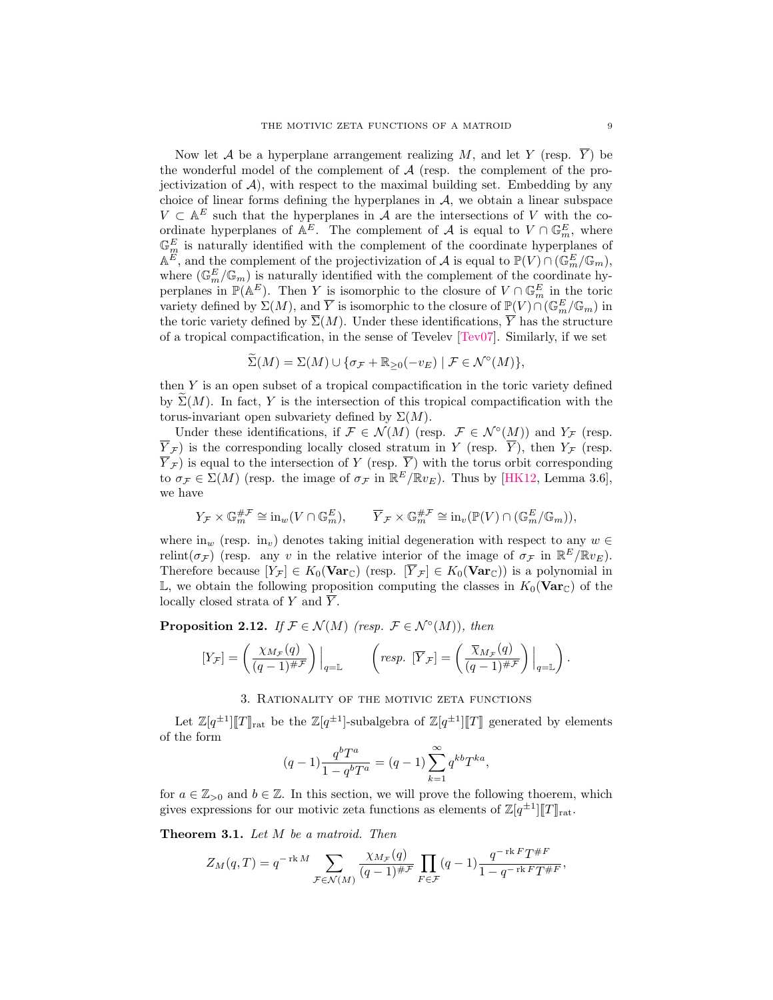Now let A be a hyperplane arrangement realizing M, and let Y (resp.  $\overline{Y}$ ) be the wonderful model of the complement of  $A$  (resp. the complement of the projectivization of  $A$ ), with respect to the maximal building set. Embedding by any choice of linear forms defining the hyperplanes in  $A$ , we obtain a linear subspace  $V \subset \mathbb{A}^E$  such that the hyperplanes in  $\mathcal A$  are the intersections of V with the coordinate hyperplanes of  $\mathbb{A}^E$ . The complement of A is equal to  $V \cap \mathbb{G}_m^E$ , where  $\mathbb{G}_m^E$  is naturally identified with the complement of the coordinate hyperplanes of  $\mathbb{A}^E$ , and the complement of the projectivization of  $\mathcal A$  is equal to  $\mathbb{P}(V) \cap (\mathbb{G}_m^E / \mathbb{G}_m)$ , where  $(\mathbb{G}_m^E/\mathbb{G}_m)$  is naturally identified with the complement of the coordinate hyperplanes in  $\mathbb{P}(\mathbb{A}^E)$ . Then Y is isomorphic to the closure of  $V \cap \mathbb{G}_m^E$  in the toric variety defined by  $\Sigma(M)$ , and  $\overline{Y}$  is isomorphic to the closure of  $\mathbb{P}(V) \cap (\mathbb{G}_m^E/\mathbb{G}_m)$  in the toric variety defined by  $\overline{\Sigma}(M)$ . Under these identifications,  $\overline{Y}$  has the structure of a tropical compactification, in the sense of Tevelev  $[TeV07]$ . Similarly, if we set

$$
\widetilde{\Sigma}(M) = \Sigma(M) \cup \{ \sigma_{\mathcal{F}} + \mathbb{R}_{\geq 0}(-v_E) \mid \mathcal{F} \in \mathcal{N}^{\circ}(M) \},
$$

then Y is an open subset of a tropical compactification in the toric variety defined by  $\Sigma(M)$ . In fact, Y is the intersection of this tropical compactification with the torus-invariant open subvariety defined by  $\Sigma(M)$ .

Under these identifications, if  $\mathcal{F} \in \mathcal{N}(M)$  (resp.  $\mathcal{F} \in \mathcal{N}^{\circ}(M)$ ) and  $Y_{\mathcal{F}}$  (resp.  $\overline{Y}_{\mathcal{F}}$ ) is the corresponding locally closed stratum in Y (resp.  $\overline{Y}$ ), then  $Y_{\mathcal{F}}$  (resp.  $Y_{\mathcal{F}}$ ) is equal to the intersection of Y (resp. Y) with the torus orbit corresponding to  $\sigma_{\mathcal{F}} \in \Sigma(M)$  (resp. the image of  $\sigma_{\mathcal{F}}$  in  $\mathbb{R}^E/\mathbb{R}v_E$ ). Thus by [\[HK12,](#page-27-16) Lemma 3.6], we have

$$
Y_{\mathcal{F}} \times \mathbb{G}_m^{\# \mathcal{F}} \cong \mathrm{in}_w(V \cap \mathbb{G}_m^E), \qquad \overline{Y}_{\mathcal{F}} \times \mathbb{G}_m^{\# \mathcal{F}} \cong \mathrm{in}_v(\mathbb{P}(V) \cap (\mathbb{G}_m^E/\mathbb{G}_m)),
$$

where  $\text{in}_w$  (resp.  $\text{in}_v$ ) denotes taking initial degeneration with respect to any  $w \in$ relint( $\sigma$ <sub>F</sub>) (resp. any v in the relative interior of the image of  $\sigma$ <sub>F</sub> in  $\mathbb{R}^E/\mathbb{R}v_E$ ). Therefore because  $[Y_{\mathcal{F}}] \in K_0(\mathbf{Var}_{\mathbb{C}})$  (resp.  $[\overline{Y}_{\mathcal{F}}] \in K_0(\mathbf{Var}_{\mathbb{C}})$ ) is a polynomial in  $\mathbb{L}$ , we obtain the following proposition computing the classes in  $K_0(\mathbf{Var}_{\mathbb{C}})$  of the locally closed strata of  $Y$  and  $Y$ .

<span id="page-8-2"></span>**Proposition 2.12.** If  $\mathcal{F} \in \mathcal{N}(M)$  (resp.  $\mathcal{F} \in \mathcal{N}^{\circ}(M)$ ), then

$$
[Y_{\mathcal{F}}] = \left(\frac{\chi_{M_{\mathcal{F}}}(q)}{(q-1)^{\#\mathcal{F}}}\right)\Big|_{q=\mathbb{L}} \qquad \left(\text{resp. } [\overline{Y}_{\mathcal{F}}] = \left(\frac{\overline{\chi}_{M_{\mathcal{F}}}(q)}{(q-1)^{\#\mathcal{F}}}\right)\Big|_{q=\mathbb{L}}\right).
$$

## 3. Rationality of the motivic zeta functions

<span id="page-8-0"></span>Let  $\mathbb{Z}[q^{\pm 1}][T]_{\text{rat}}$  be the  $\mathbb{Z}[q^{\pm 1}]$ -subalgebra of  $\mathbb{Z}[q^{\pm 1}][T]$  generated by elements of the form

$$
(q-1)\frac{q^{b}T^{a}}{1-q^{b}T^{a}} = (q-1)\sum_{k=1}^{\infty} q^{kb}T^{ka},
$$

for  $a \in \mathbb{Z}_{>0}$  and  $b \in \mathbb{Z}$ . In this section, we will prove the following thoerem, which gives expressions for our motivic zeta functions as elements of  $\mathbb{Z}[q^{\pm 1}][T]_{\text{rat}}$ .

<span id="page-8-1"></span>Theorem 3.1. Let M be a matroid. Then

$$
Z_M(q,T) = q^{-\operatorname{rk} M} \sum_{\mathcal{F} \in \mathcal{N}(M)} \frac{\chi_{M_{\mathcal{F}}}(q)}{(q-1)^{\# \mathcal{F}}} \prod_{F \in \mathcal{F}} (q-1) \frac{q^{-\operatorname{rk} F} T^{\# F}}{1-q^{-\operatorname{rk} F} T^{\# F}},
$$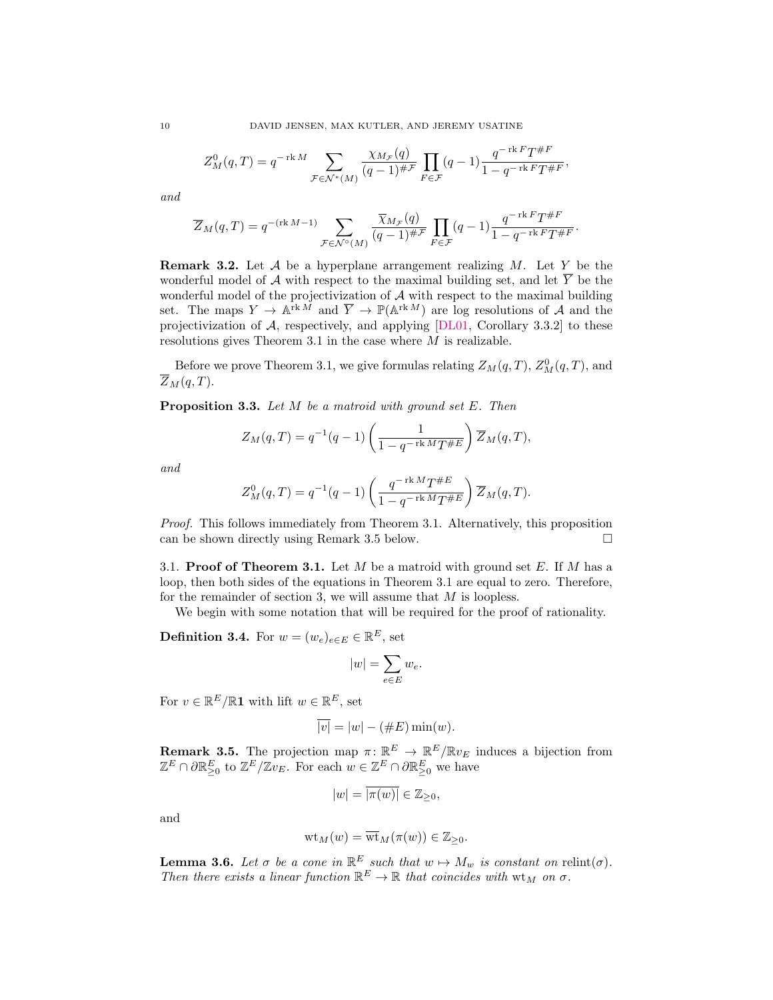$$
Z_M^0(q,T) = q^{-\operatorname{rk} M} \sum_{\mathcal{F} \in \mathcal{N}^*(M)} \frac{\chi_{M_{\mathcal{F}}}(q)}{(q-1)^{\# \mathcal{F}}} \prod_{F \in \mathcal{F}} (q-1) \frac{q^{-\operatorname{rk} F} T^{\# F}}{1-q^{-\operatorname{rk} F} T^{\# F}},
$$

and

$$
\overline{Z}_M(q,T) = q^{-(\operatorname{rk} M - 1)} \sum_{\mathcal{F} \in \mathcal{N}^\circ(M)} \frac{\overline{\chi}_{M_{\mathcal{F}}}(q)}{(q-1)^{\# \mathcal{F}}} \prod_{F \in \mathcal{F}} (q-1) \frac{q^{-\operatorname{rk} F} T^{\# F}}{1 - q^{-\operatorname{rk} F} T^{\# F}}.
$$

<span id="page-9-2"></span>**Remark 3.2.** Let  $A$  be a hyperplane arrangement realizing  $M$ . Let  $Y$  be the wonderful model of  $A$  with respect to the maximal building set, and let  $\overline{Y}$  be the wonderful model of the projectivization of  $A$  with respect to the maximal building set. The maps  $Y \to \mathbb{A}^{\text{rk}\,\tilde{M}}$  and  $\overline{Y} \to \mathbb{P}(\mathbb{A}^{\text{rk}\,M})$  are log resolutions of A and the projectivization of  $A$ , respectively, and applying  $[DL01, Corollary 3.3.2]$  $[DL01, Corollary 3.3.2]$  to these resolutions gives [Theorem 3.1](#page-8-1) in the case where M is realizable.

Before we prove [Theorem 3.1,](#page-8-1) we give formulas relating  $Z_M(q,T)$ ,  $Z_M^0(q,T)$ , and  $\overline{Z}_M(q,T)$ .

<span id="page-9-1"></span>**Proposition 3.3.** Let  $M$  be a matroid with ground set  $E$ . Then

$$
Z_M(q,T) = q^{-1}(q-1)\left(\frac{1}{1-q^{-\operatorname{rk} M}T^{\#E}}\right)\overline{Z}_M(q,T),
$$

and

$$
Z_M^0(q,T) = q^{-1}(q-1)\left(\frac{q^{-\operatorname{rk} M}T^{\#E}}{1-q^{-\operatorname{rk} M}T^{\#E}}\right)\overline{Z}_M(q,T).
$$

Proof. This follows immediately from [Theorem 3.1.](#page-8-1) Alternatively, this proposition can be shown directly using [Remark 3.5](#page-9-3) below.  $\square$ 

3.1. Proof of [Theorem 3.1.](#page-8-1) Let  $M$  be a matroid with ground set  $E$ . If  $M$  has a loop, then both sides of the equations in [Theorem 3.1](#page-8-1) are equal to zero. Therefore, for the remainder of [section 3,](#page-8-0) we will assume that  $M$  is loopless.

We begin with some notation that will be required for the proof of rationality.

<span id="page-9-0"></span>**Definition 3.4.** For  $w = (w_e)_{e \in E} \in \mathbb{R}^E$ , set

$$
|w|=\sum_{e\in E}w_e.
$$

For  $v \in \mathbb{R}^E / \mathbb{R}1$  with lift  $w \in \mathbb{R}^E$ , set

$$
\overline{|v|} = |w| - (\#E)\min(w).
$$

<span id="page-9-3"></span>**Remark 3.5.** The projection map  $\pi: \mathbb{R}^E \to \mathbb{R}^E/\mathbb{R}v_E$  induces a bijection from  $\mathbb{Z}^E \cap \partial \mathbb{R}_{\geq 0}^E$  to  $\mathbb{Z}^E/\mathbb{Z}v_E$ . For each  $w \in \mathbb{Z}^E \cap \partial \mathbb{R}_{\geq 0}^E$  we have

$$
|w|=\overline{|\pi(w)|}\in\mathbb{Z}_{\geq 0},
$$

and

$$
\mathrm{wt}_M(w)=\overline{\mathrm{wt}}_M(\pi(w))\in\mathbb{Z}_{\geq 0}.
$$

<span id="page-9-4"></span>**Lemma 3.6.** Let  $\sigma$  be a cone in  $\mathbb{R}^E$  such that  $w \mapsto M_w$  is constant on relint( $\sigma$ ). Then there exists a linear function  $\mathbb{R}^E \to \mathbb{R}$  that coincides with  $\mathbf{wt}_M$  on  $\sigma$ .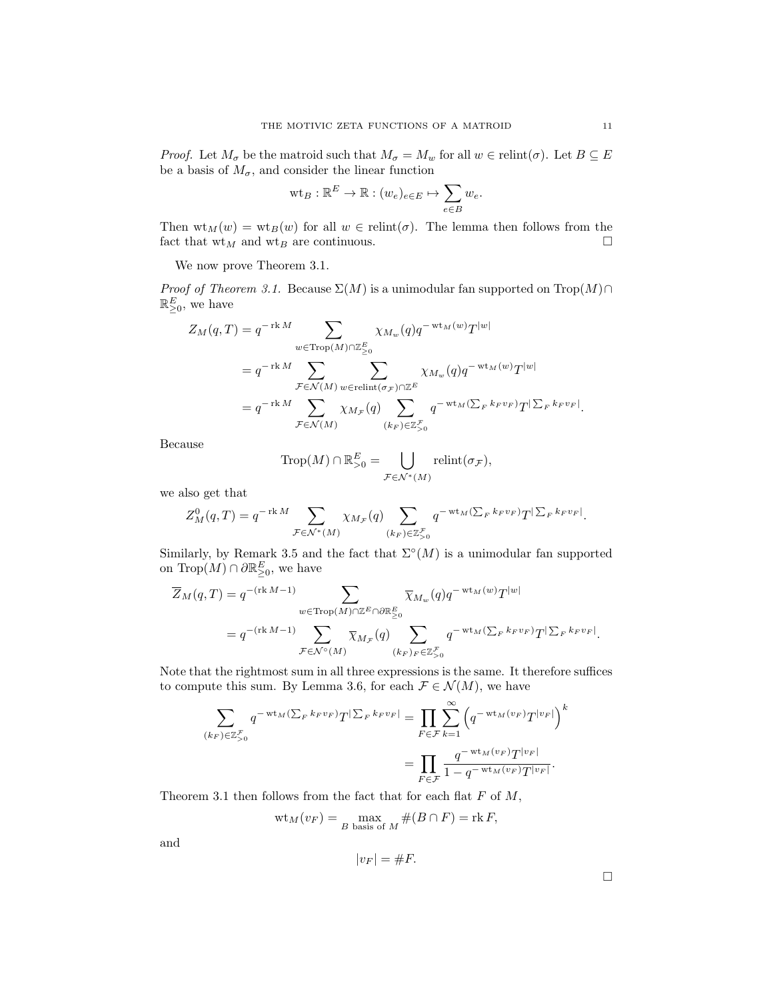*Proof.* Let  $M_{\sigma}$  be the matroid such that  $M_{\sigma} = M_w$  for all  $w \in \text{relint}(\sigma)$ . Let  $B \subseteq E$ be a basis of  $M_{\sigma}$ , and consider the linear function

$$
\mathrm{wt}_B:\mathbb{R}^E\to\mathbb{R}:(w_e)_{e\in E}\mapsto\sum_{e\in B}w_e.
$$

Then  $\text{wt}_M(w) = \text{wt}_B(w)$  for all  $w \in \text{relint}(\sigma)$ . The lemma then follows from the fact that  $\mathbf{wt}_M$  and  $\mathbf{wt}_B$  are continuous.

We now prove [Theorem 3.1.](#page-8-1)

*Proof of [Theorem 3.1.](#page-8-1)* Because  $\Sigma(M)$  is a unimodular fan supported on Trop $(M) \cap$  $\mathbb{R}_{\geq 0}^E$ , we have

$$
Z_M(q,T) = q^{-\operatorname{rk} M} \sum_{w \in \operatorname{Trop}(M) \cap \mathbb{Z}_{\geq 0}^E} \chi_{M_w}(q) q^{-\operatorname{wt}_M(w)} T^{|w|}
$$
  
=  $q^{-\operatorname{rk} M} \sum_{\mathcal{F} \in \mathcal{N}(M)} \sum_{w \in \operatorname{relint}(\sigma_{\mathcal{F}}) \cap \mathbb{Z}^E} \chi_{M_w}(q) q^{-\operatorname{wt}_M(w)} T^{|w|}$   
=  $q^{-\operatorname{rk} M} \sum_{\mathcal{F} \in \mathcal{N}(M)} \chi_{M_{\mathcal{F}}}(q) \sum_{(k_F) \in \mathbb{Z}_{\geq 0}^{\mathcal{F}}} q^{-\operatorname{wt}_M(\sum_F k_F v_F)} T^{|\sum_F k_F v_F|}.$ 

Because

$$
\operatorname{Trop}(M) \cap \mathbb{R}^E_{>0} = \bigcup_{\mathcal{F} \in \mathcal{N}^*(M)} \operatorname{relint}(\sigma_{\mathcal{F}}),
$$

we also get that

$$
Z_M^0(q,T) = q^{-\operatorname{rk} M} \sum_{\mathcal{F} \in \mathcal{N}^*(M)} \chi_{M_{\mathcal{F}}}(q) \sum_{(k_F) \in \mathbb{Z}_{\geq 0}^{\mathcal{F}}} q^{-\operatorname{wt}_M(\sum_F k_F v_F)} T^{|\sum_F k_F v_F|}.
$$

Similarly, by [Remark 3.5](#page-9-3) and the fact that  $\Sigma^{\circ}(M)$  is a unimodular fan supported on  $\text{Trop}(M) \cap \partial \mathbb{R}^E_{\geq 0}$ , we have

$$
\overline{Z}_M(q,T) = q^{-(\text{rk }M-1)} \sum_{w \in \text{Trop}(M) \cap \mathbb{Z}^E \cap \partial \mathbb{R}^E_{\geq 0}} \overline{\chi}_{M_w}(q) q^{-\text{wt}_M(w)} T^{|w|}
$$
\n
$$
= q^{-(\text{rk }M-1)} \sum_{\mathcal{F} \in \mathcal{N}^\circ(M)} \overline{\chi}_{M_{\mathcal{F}}}(q) \sum_{(k_F)_F \in \mathbb{Z}^{\mathcal{F}}_{\geq 0}} q^{-\text{wt}_M(\sum_F k_F v_F)} T^{|\sum_F k_F v_F|}.
$$

Note that the rightmost sum in all three expressions is the same. It therefore suffices to compute this sum. By [Lemma 3.6,](#page-9-4) for each  $\mathcal{F} \in \mathcal{N}(M)$ , we have

$$
\sum_{(k_F)\in\mathbb{Z}_{\geq 0}^{\mathcal{F}}}q^{-\operatorname{wt}_M(\sum_F k_F v_F)}T^{|\sum_F k_F v_F|} = \prod_{F\in\mathcal{F}}\sum_{k=1}^{\infty} \left(q^{-\operatorname{wt}_M(v_F)}T^{|v_F|}\right)^k
$$
\n
$$
= \prod_{F\in\mathcal{F}}\frac{q^{-\operatorname{wt}_M(v_F)}T^{|v_F|}}{1-q^{-\operatorname{wt}_M(v_F)}T^{|v_F|}}.
$$

[Theorem 3.1](#page-8-1) then follows from the fact that for each flat  $F$  of  $M$ ,

$$
wt_M(v_F) = \max_{B \text{ basis of } M} \#(B \cap F) = \text{rk } F,
$$

and

$$
|v_F| = \#F.
$$

 $\Box$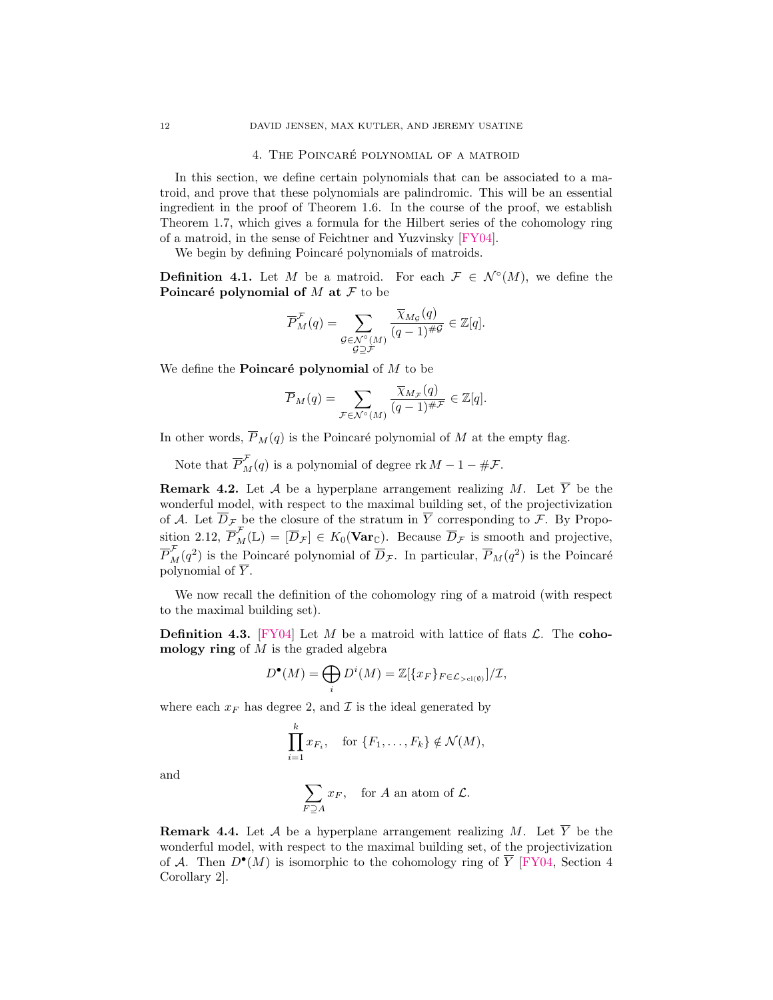## 4. THE POINCARÉ POLYNOMIAL OF A MATROID

<span id="page-11-0"></span>In this section, we define certain polynomials that can be associated to a matroid, and prove that these polynomials are palindromic. This will be an essential ingredient in the proof of [Theorem 1.6.](#page-2-0) In the course of the proof, we establish [Theorem 1.7,](#page-3-0) which gives a formula for the Hilbert series of the cohomology ring of a matroid, in the sense of Feichtner and Yuzvinsky [\[FY04\]](#page-27-0).

We begin by defining Poincaré polynomials of matroids.

<span id="page-11-1"></span>**Definition 4.1.** Let M be a matroid. For each  $\mathcal{F} \in \mathcal{N}^{\circ}(M)$ , we define the Poincaré polynomial of  $M$  at  $\mathcal F$  to be

$$
\overline{P}_{M}^{\mathcal{F}}(q) = \sum_{\substack{\mathcal{G} \in \mathcal{N}^{\circ}(M) \\ \mathcal{G} \supseteq \mathcal{F}}} \frac{\overline{\chi}_{M_{\mathcal{G}}}(q)}{(q-1)^{\#\mathcal{G}}} \in \mathbb{Z}[q].
$$

We define the **Poincaré polynomial** of  $M$  to be

$$
\overline{P}_M(q) = \sum_{\mathcal{F} \in \mathcal{N}^\circ(M)} \frac{\overline{\chi}_{M_{\mathcal{F}}}(q)}{(q-1)^{\# \mathcal{F}}} \in \mathbb{Z}[q].
$$

In other words,  $\overline{P}_M(q)$  is the Poincaré polynomial of M at the empty flag.

Note that  $\overline{P}_{M}^{\mathcal{F}}(q)$  is a polynomial of degree rk  $M-1-\#\mathcal{F}$ .

<span id="page-11-3"></span>**Remark 4.2.** Let A be a hyperplane arrangement realizing M. Let  $\overline{Y}$  be the wonderful model, with respect to the maximal building set, of the projectivization of A. Let  $\overline{D}_{\mathcal{F}}$  be the closure of the stratum in  $\overline{Y}$  corresponding to  $\mathcal{F}$ . By [Propo](#page-8-2)[sition 2.12,](#page-8-2)  $\overline{P}_{M}^{\mathcal{F}}(\mathbb{L}) = [\overline{D}_{\mathcal{F}}] \in K_0(\mathbf{Var}_{\mathbb{C}})$ . Because  $\overline{D}_{\mathcal{F}}$  is smooth and projective,  $\overline{P}_{M}^{\mathcal{F}}(q^2)$  is the Poincaré polynomial of  $\overline{D}_{\mathcal{F}}$ . In particular,  $\overline{P}_{M}(q^2)$  is the Poincaré polynomial of  $\overline{Y}$ .

We now recall the definition of the cohomology ring of a matroid (with respect to the maximal building set).

<span id="page-11-2"></span>**Definition 4.3.** [\[FY04\]](#page-27-0) Let M be a matroid with lattice of flats  $\mathcal{L}$ . The cohomology ring of  $M$  is the graded algebra

$$
D^{\bullet}(M) = \bigoplus_{i} D^{i}(M) = \mathbb{Z}[\{x_F\}_{F \in \mathcal{L}_{> cl(\emptyset)}}]/\mathcal{I},
$$

where each  $x_F$  has degree 2, and  $\mathcal I$  is the ideal generated by

$$
\prod_{i=1}^k x_{F_i}, \quad \text{for } \{F_1, \ldots, F_k\} \notin \mathcal{N}(M),
$$

and

$$
\sum_{F \supseteq A} x_F
$$
, for *A* an atom of *L*.

<span id="page-11-4"></span>**Remark 4.4.** Let A be a hyperplane arrangement realizing M. Let  $\overline{Y}$  be the wonderful model, with respect to the maximal building set, of the projectivization of A. Then  $D^{\bullet}(M)$  is isomorphic to the cohomology ring of  $\overline{Y}$  [\[FY04,](#page-27-0) Section 4 Corollary 2].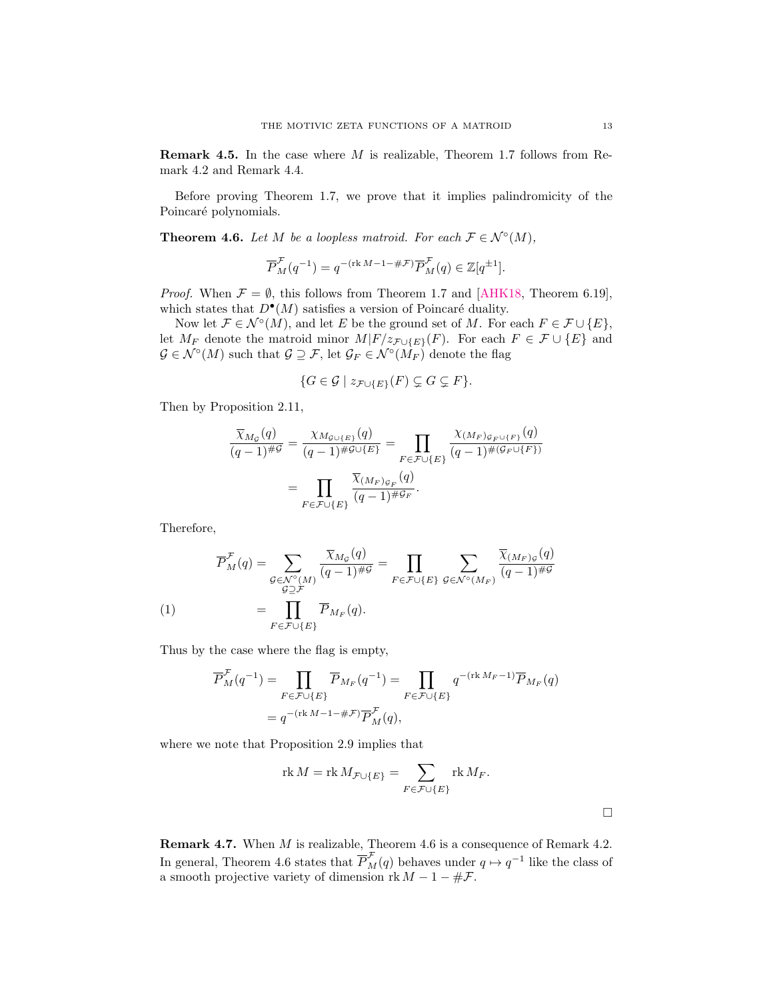**Remark 4.5.** In the case where  $M$  is realizable, [Theorem 1.7](#page-3-0) follows from [Re](#page-11-3)[mark 4.2](#page-11-3) and [Remark 4.4.](#page-11-4)

Before proving [Theorem 1.7,](#page-3-0) we prove that it implies palindromicity of the Poincaré polynomials.

<span id="page-12-0"></span>**Theorem 4.6.** Let M be a loopless matroid. For each  $\mathcal{F} \in \mathcal{N}^{\circ}(M)$ ,

$$
\overline{P}_M^{\mathcal{F}}(q^{-1})=q^{-(\operatorname{rk} M-1-\#\mathcal{F})}\overline{P}_M^{\mathcal{F}}(q)\in\mathbb{Z}[q^{\pm 1}].
$$

*Proof.* When  $\mathcal{F} = \emptyset$ , this follows from [Theorem 1.7](#page-3-0) and [\[AHK18,](#page-26-0) Theorem 6.19]. which states that  $D^{\bullet}(M)$  satisfies a version of Poincaré duality.

Now let  $\mathcal{F} \in \mathcal{N}^{\circ}(M)$ , and let E be the ground set of M. For each  $F \in \mathcal{F} \cup \{E\}$ , let  $M_F$  denote the matroid minor  $M|F/z_{\mathcal{F}\cup\{E\}}(F)$ . For each  $F \in \mathcal{F} \cup \{E\}$  and  $\mathcal{G} \in \mathcal{N}^{\circ}(M)$  such that  $\mathcal{G} \supseteq \mathcal{F}$ , let  $\mathcal{G}_F \in \mathcal{N}^{\circ}(\dot{M_F})$  denote the flag

$$
\{G \in \mathcal{G} \mid z_{\mathcal{F} \cup \{E\}}(F) \subsetneq G \subsetneq F\}.
$$

Then by [Proposition 2.11,](#page-7-2)

$$
\frac{\overline{\chi}_{M_{\mathcal{G}}}(q)}{(q-1)^{\# \mathcal{G}}} = \frac{\chi_{M_{\mathcal{G}} \cup \{E\}}(q)}{(q-1)^{\# \mathcal{G} \cup \{E\}}} = \prod_{F \in \mathcal{F} \cup \{E\}} \frac{\chi_{(M_F)_{\mathcal{G}_F \cup \{F\}}}(q)}{(q-1)^{\#(\mathcal{G}_F \cup \{F\})}}
$$
\n
$$
= \prod_{F \in \mathcal{F} \cup \{E\}} \frac{\overline{\chi}_{(M_F)_{\mathcal{G}_F}(q)}}{(q-1)^{\# \mathcal{G}_F}}.
$$

Therefore,

<span id="page-12-1"></span>
$$
\overline{P}_{M}^{\mathcal{F}}(q) = \sum_{\substack{\mathcal{G} \in \mathcal{N}^{\circ}(M) \\ \mathcal{G} \supseteq \mathcal{F}}} \frac{\overline{\chi}_{M_{\mathcal{G}}}(q)}{(q-1)^{\# \mathcal{G}}} = \prod_{F \in \mathcal{F} \cup \{E\}} \sum_{\mathcal{G} \in \mathcal{N}^{\circ}(M_F)} \frac{\overline{\chi}_{(M_F)_{\mathcal{G}}}(q)}{(q-1)^{\# \mathcal{G}}}
$$
\n
$$
(1) \qquad \qquad = \prod_{F \in \mathcal{F} \cup \{E\}} \overline{P}_{M_F}(q).
$$

Thus by the case where the flag is empty,

$$
\overline{P}_{M}^{\mathcal{F}}(q^{-1}) = \prod_{F \in \mathcal{F} \cup \{E\}} \overline{P}_{M_F}(q^{-1}) = \prod_{F \in \mathcal{F} \cup \{E\}} q^{-(\text{rk } M_F - 1)} \overline{P}_{M_F}(q)
$$
\n
$$
= q^{-(\text{rk } M - 1 - \# \mathcal{F})} \overline{P}_{M}^{\mathcal{F}}(q),
$$

where we note that [Proposition 2.9](#page-7-1) implies that

$$
\operatorname{rk} M = \operatorname{rk} M_{\mathcal{F} \cup \{E\}} = \sum_{F \in \mathcal{F} \cup \{E\}} \operatorname{rk} M_F.
$$

**Remark 4.7.** When  $M$  is realizable, [Theorem 4.6](#page-12-0) is a consequence of [Remark 4.2.](#page-11-3) In general, [Theorem 4.6](#page-12-0) states that  $\overline{P}_{M}^{\mathcal{F}}(q)$  behaves under  $q \mapsto q^{-1}$  like the class of a smooth projective variety of dimension rk  $M - 1 - \#F$ .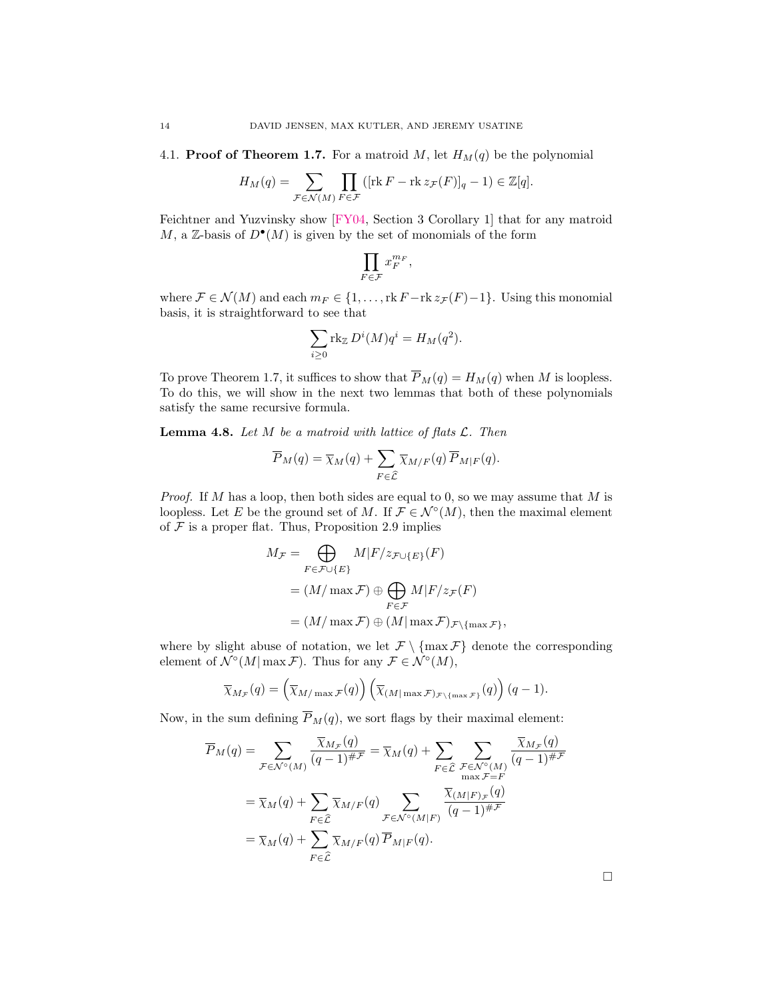<span id="page-13-1"></span>4.1. **Proof of [Theorem 1.7.](#page-3-0)** For a matroid M, let  $H_M(q)$  be the polynomial

$$
H_M(q) = \sum_{\mathcal{F} \in \mathcal{N}(M)} \prod_{F \in \mathcal{F}} \left( [\text{rk } F - \text{rk } z_{\mathcal{F}}(F)]_q - 1 \right) \in \mathbb{Z}[q].
$$

Feichtner and Yuzvinsky show [\[FY04,](#page-27-0) Section 3 Corollary 1] that for any matroid M, a Z-basis of  $D^{\bullet}(M)$  is given by the set of monomials of the form

$$
\prod_{F \in \mathcal{F}} x_F^{m_F},
$$

where  $\mathcal{F} \in \mathcal{N}(M)$  and each  $m_F \in \{1, \ldots, \text{rk } F - \text{rk } z_{\mathcal{F}}(F) - 1\}$ . Using this monomial basis, it is straightforward to see that

$$
\sum_{i\geq 0} \text{rk}_{\mathbb{Z}} D^i(M) q^i = H_M(q^2).
$$

To prove [Theorem 1.7,](#page-3-0) it suffices to show that  $\overline{P}_M(q) = H_M(q)$  when M is loopless. To do this, we will show in the next two lemmas that both of these polynomials satisfy the same recursive formula.

<span id="page-13-0"></span>**Lemma 4.8.** Let  $M$  be a matroid with lattice of flats  $\mathcal{L}$ . Then

$$
\overline{P}_M(q) = \overline{\chi}_M(q) + \sum_{F \in \widehat{\mathcal{L}}} \overline{\chi}_{M/F}(q) \overline{P}_{M|F}(q).
$$

*Proof.* If M has a loop, then both sides are equal to 0, so we may assume that M is loopless. Let E be the ground set of M. If  $\mathcal{F} \in \mathcal{N}^{\circ}(M)$ , then the maximal element of  $F$  is a proper flat. Thus, [Proposition 2.9](#page-7-1) implies

$$
M_{\mathcal{F}} = \bigoplus_{F \in \mathcal{F} \cup \{E\}} M|F/z_{\mathcal{F} \cup \{E\}}(F)
$$
  
=  $(M/\max \mathcal{F}) \oplus \bigoplus_{F \in \mathcal{F}} M|F/z_{\mathcal{F}}(F)$   
=  $(M/\max \mathcal{F}) \oplus (M|\max \mathcal{F})_{\mathcal{F}\backslash{\max \mathcal{F}}},$ 

where by slight abuse of notation, we let  $\mathcal{F} \setminus \{\max \mathcal{F}\}\$  denote the corresponding element of  $\mathcal{N}^{\circ}(M | \max \mathcal{F})$ . Thus for any  $\mathcal{F} \in \mathcal{N}^{\circ}(M)$ ,

$$
\overline{\chi}_{M_{\mathcal{F}}}(q) = \left(\overline{\chi}_{M/\max \mathcal{F}}(q)\right) \left(\overline{\chi}_{(M|\max \mathcal{F})_{\mathcal{F}\backslash \{\max \mathcal{F}\}}}(q)\right) (q-1).
$$

Now, in the sum defining  $\overline{P}_M(q)$ , we sort flags by their maximal element:

$$
\overline{P}_M(q) = \sum_{\mathcal{F} \in \mathcal{N}^\circ(M)} \frac{\overline{\chi}_{M_{\mathcal{F}}}(q)}{(q-1)^{\# \mathcal{F}}} = \overline{\chi}_M(q) + \sum_{F \in \widehat{\mathcal{L}}} \sum_{\substack{\mathcal{F} \in \mathcal{N}^\circ(M) \\ \max \mathcal{F} = F}} \frac{\overline{\chi}_{M_{\mathcal{F}}}(q)}{(q-1)^{\# \mathcal{F}}}}{\sum_{F \in \widehat{\mathcal{L}}} \overline{\chi}_{M/F}(q)} \sum_{\substack{\mathcal{F} \in \mathcal{N}^\circ(M|F) \\ \mathcal{F} \in \widehat{\mathcal{L}}}} \frac{\overline{\chi}_{(M|F)_{\mathcal{F}}}(q)}{(q-1)^{\# \mathcal{F}}}}{\overline{(q-1)^{\# \mathcal{F}}}}
$$
\n
$$
= \overline{\chi}_M(q) + \sum_{F \in \widehat{\mathcal{L}}} \overline{\chi}_{M/F}(q) \overline{P}_{M|F}(q).
$$

 $\Box$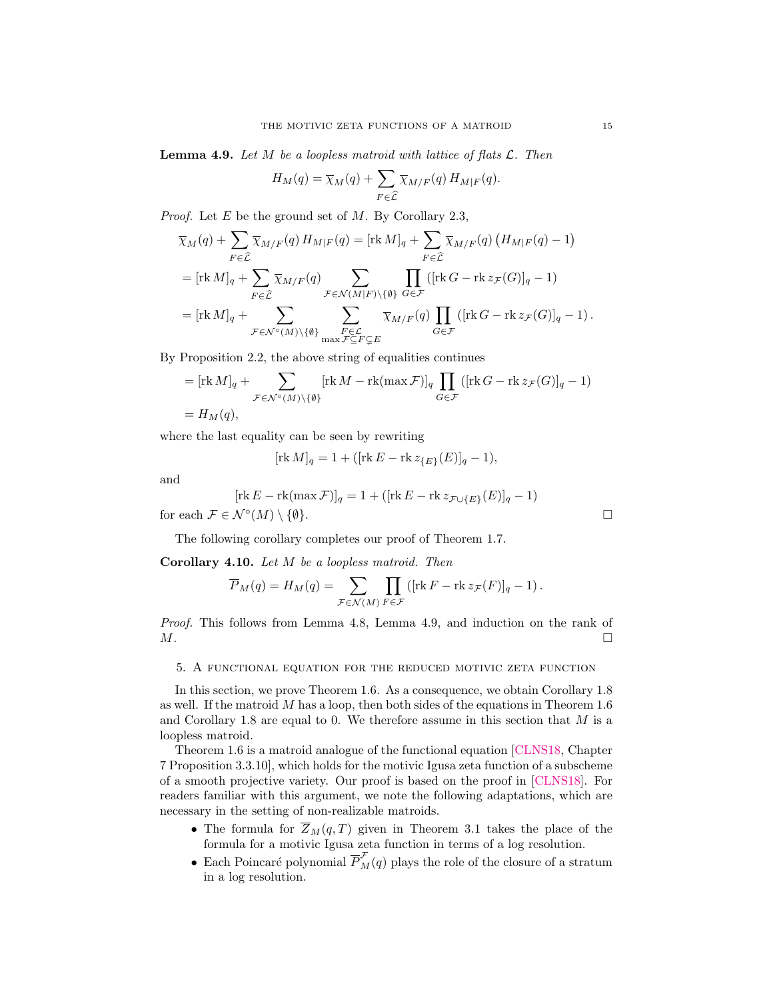<span id="page-14-0"></span>**Lemma 4.9.** Let  $M$  be a loopless matroid with lattice of flats  $\mathcal{L}$ . Then

$$
H_M(q) = \overline{\chi}_M(q) + \sum_{F \in \widehat{\mathcal{L}}} \overline{\chi}_{M/F}(q) H_{M|F}(q).
$$

*Proof.* Let E be the ground set of M. By [Corollary 2.3,](#page-5-1)

$$
\overline{\chi}_M(q) + \sum_{F \in \widehat{\mathcal{L}}} \overline{\chi}_{M/F}(q) H_{M|F}(q) = [\text{rk } M]_q + \sum_{F \in \widehat{\mathcal{L}}} \overline{\chi}_{M/F}(q) (H_{M|F}(q) - 1)
$$
\n
$$
= [\text{rk } M]_q + \sum_{F \in \widehat{\mathcal{L}}} \overline{\chi}_{M/F}(q) \sum_{\mathcal{F} \in \mathcal{N}(M|F) \backslash \{\emptyset\}} \prod_{G \in \mathcal{F}} ([\text{rk } G - \text{rk } z_{\mathcal{F}}(G)]_q - 1)
$$
\n
$$
= [\text{rk } M]_q + \sum_{\mathcal{F} \in \mathcal{N}^{\circ}(M) \backslash \{\emptyset\}} \sum_{\substack{F \in \mathcal{L} \\ \text{rk } F \subseteq F \subseteq E}} \overline{\chi}_{M/F}(q) \prod_{G \in \mathcal{F}} ([\text{rk } G - \text{rk } z_{\mathcal{F}}(G)]_q - 1).
$$

By [Proposition 2.2,](#page-5-0) the above string of equalities continues

$$
= [\mathop{\mathrm{rk}} M]_q + \sum_{\mathcal{F} \in \mathcal{N}^\circ(M) \setminus \{\emptyset\}} [\mathop{\mathrm{rk}} M - \mathop{\mathrm{rk}} (\max \mathcal{F})]_q \prod_{G \in \mathcal{F}} ([\mathop{\mathrm{rk}} G - \mathop{\mathrm{rk}} z_{\mathcal{F}}(G)]_q - 1)
$$
  
=  $H_M(q)$ ,

where the last equality can be seen by rewriting

$$
[\n {\rm rk}\, M]_q = 1 + ([{\rm rk}\, E - {\rm rk}\, z_{\{E\}}(E)]_q - 1),
$$

and

$$
[\text{rk } E - \text{rk}(\max \mathcal{F})]_q = 1 + ([\text{rk } E - \text{rk } z_{\mathcal{F} \cup \{E\}}(E)]_q - 1)
$$
  
for each  $\mathcal{F} \in \mathcal{N}^{\circ}(M) \setminus \{\emptyset\}.$ 

The following corollary completes our proof of [Theorem 1.7.](#page-3-0)

<span id="page-14-1"></span>Corollary 4.10. Let M be a loopless matroid. Then

$$
\overline{P}_M(q) = H_M(q) = \sum_{\mathcal{F} \in \mathcal{N}(M)} \prod_{F \in \mathcal{F}} \left( [\text{rk } F - \text{rk } z_{\mathcal{F}}(F)]_q - 1 \right).
$$

Proof. This follows from [Lemma 4.8,](#page-13-0) [Lemma 4.9,](#page-14-0) and induction on the rank of  $M$ .

## 5. A functional equation for the reduced motivic zeta function

In this section, we prove [Theorem 1.6.](#page-2-0) As a consequence, we obtain [Corollary 1.8](#page-3-1) as well. If the matroid  $M$  has a loop, then both sides of the equations in [Theorem 1.6](#page-2-0) and [Corollary 1.8](#page-3-1) are equal to 0. We therefore assume in this section that  $M$  is a loopless matroid.

[Theorem 1.6](#page-2-0) is a matroid analogue of the functional equation [\[CLNS18,](#page-27-9) Chapter 7 Proposition 3.3.10], which holds for the motivic Igusa zeta function of a subscheme of a smooth projective variety. Our proof is based on the proof in [\[CLNS18\]](#page-27-9). For readers familiar with this argument, we note the following adaptations, which are necessary in the setting of non-realizable matroids.

- The formula for  $\overline{Z}_M(q,T)$  given in [Theorem 3.1](#page-8-1) takes the place of the formula for a motivic Igusa zeta function in terms of a log resolution.
- Each Poincaré polynomial  $\overline{P}_M^{\mathcal{F}}(q)$  plays the role of the closure of a stratum in a log resolution.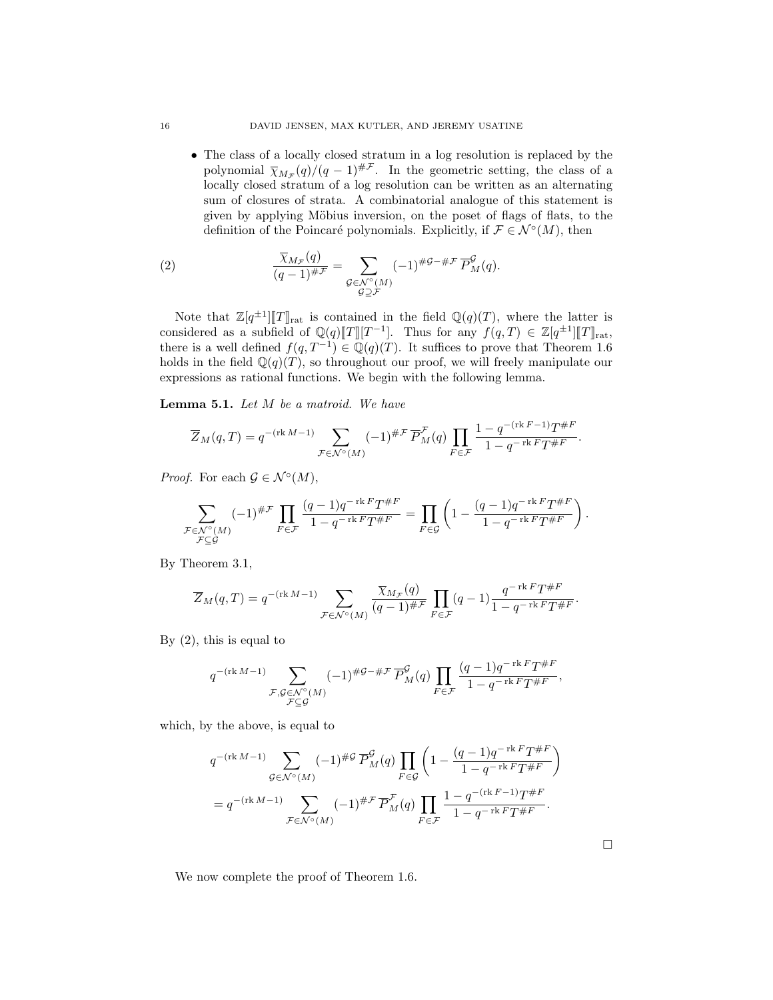• The class of a locally closed stratum in a log resolution is replaced by the polynomial  $\overline{\chi}_{M_{\mathcal{F}}}(q)/(q-1)^{\# \mathcal{F}}$ . In the geometric setting, the class of a locally closed stratum of a log resolution can be written as an alternating sum of closures of strata. A combinatorial analogue of this statement is given by applying Möbius inversion, on the poset of flags of flats, to the definition of the Poincaré polynomials. Explicitly, if  $\mathcal{F} \in \mathcal{N}^{\circ}(M)$ , then

<span id="page-15-0"></span>(2) 
$$
\frac{\overline{\chi}_{M_{\mathcal{F}}}(q)}{(q-1)^{\# \mathcal{F}}} = \sum_{\substack{\mathcal{G} \in \mathcal{N}^{\circ}(M) \\ \mathcal{G} \supseteq \mathcal{F}}} (-1)^{\# \mathcal{G} - \# \mathcal{F}} \overline{P}^{\mathcal{G}}_M(q).
$$

Note that  $\mathbb{Z}[q^{\pm 1}][T]_{\text{rat}}$  is contained in the field  $\mathbb{Q}(q)(T)$ , where the latter is exidence as a subfield of  $\mathbb{Q}(\alpha)[T][T^{-1}]$ . Thus for any  $f(a,T) \in \mathbb{Z}[\alpha^{\pm 1}][T]$ considered as a subfield of  $\mathbb{Q}(q)[T][T^{-1}]$ . Thus for any  $f(q,T) \in \mathbb{Z}[q^{\pm 1}][T]_{\text{rat}}$ ,<br>there is a well defined  $f(q,T^{-1}) \in \mathbb{Q}(\alpha)(T)$ . It suffices to prove that Theorem 1.6 there is a well defined  $f(q, T^{-1}) \in \mathbb{Q}(q)(T)$ . It suffices to prove that [Theorem 1.6](#page-2-0) holds in the field  $\mathbb{Q}(q)(T)$ , so throughout our proof, we will freely manipulate our expressions as rational functions. We begin with the following lemma.

<span id="page-15-1"></span>Lemma 5.1. Let M be a matroid. We have

$$
\overline{Z}_M(q,T) = q^{-(\text{rk }M-1)} \sum_{\mathcal{F} \in \mathcal{N}^\circ(M)} (-1)^{\# \mathcal{F}} \overline{P}_M^{\mathcal{F}}(q) \prod_{F \in \mathcal{F}} \frac{1 - q^{-(\text{rk }F-1)} T^{\# F}}{1 - q^{-\text{rk }F} T^{\# F}}.
$$

*Proof.* For each  $\mathcal{G} \in \mathcal{N}^{\circ}(M)$ ,

$$
\sum_{\substack{\mathcal{F}\in \mathcal{N}^{\circ}(M)\\\mathcal{F}\subseteq \mathcal{G}}}(-1)^{\#\mathcal{F}}\prod_{F\in \mathcal{F}}\frac{(q-1)q^{-\operatorname{rk} F}T^{\# F}}{1-q^{-\operatorname{rk} F}T^{\# F}}=\prod_{F\in \mathcal{G}}\left(1-\frac{(q-1)q^{-\operatorname{rk} F}T^{\# F}}{1-q^{-\operatorname{rk} F}T^{\# F}}\right).
$$

By [Theorem 3.1,](#page-8-1)

$$
\overline{Z}_M(q,T) = q^{-(\text{rk }M-1)} \sum_{\mathcal{F} \in \mathcal{N}^\circ(M)} \frac{\overline{\chi}_{M_{\mathcal{F}}}(q)}{(q-1)^{\#\mathcal{F}}} \prod_{F \in \mathcal{F}} (q-1) \frac{q^{-\text{rk }F} T^{\#F}}{1 - q^{-\text{rk }F} T^{\#F}}.
$$

By  $(2)$ , this is equal to

$$
q^{-(\operatorname{rk} M-1)}\sum_{\substack{\mathcal{F},\mathcal{G}\in \mathcal{N}^{\circ}(M)\\\mathcal{F}\subseteq \mathcal{G}}}\nolimits(-1)^{\#\mathcal{G}-\#\mathcal{F}}\overline{P}^{\mathcal{G}}_M(q)\prod_{F\in\mathcal{F}}\frac{(q-1)q^{-\operatorname{rk} F}T^{\#F}}{1-q^{-\operatorname{rk} F}T^{\#F}},
$$

which, by the above, is equal to

$$
q^{-(\text{rk }M-1)} \sum_{\mathcal{G}\in\mathcal{N}^{\circ}(M)} (-1)^{\#\mathcal{G}} \overline{P}^{\mathcal{G}}_M(q) \prod_{F\in\mathcal{G}} \left(1 - \frac{(q-1)q^{-\text{rk }F}T^{\#F}}{1 - q^{-\text{rk }F}T^{\#F}}\right)
$$
  
= 
$$
q^{-(\text{rk }M-1)} \sum_{\mathcal{F}\in\mathcal{N}^{\circ}(M)} (-1)^{\#\mathcal{F}} \overline{P}^{\mathcal{F}}_M(q) \prod_{F\in\mathcal{F}} \frac{1 - q^{-(\text{rk }F-1)}T^{\#F}}{1 - q^{-\text{rk }F}T^{\#F}}.
$$

We now complete the proof of [Theorem 1.6.](#page-2-0)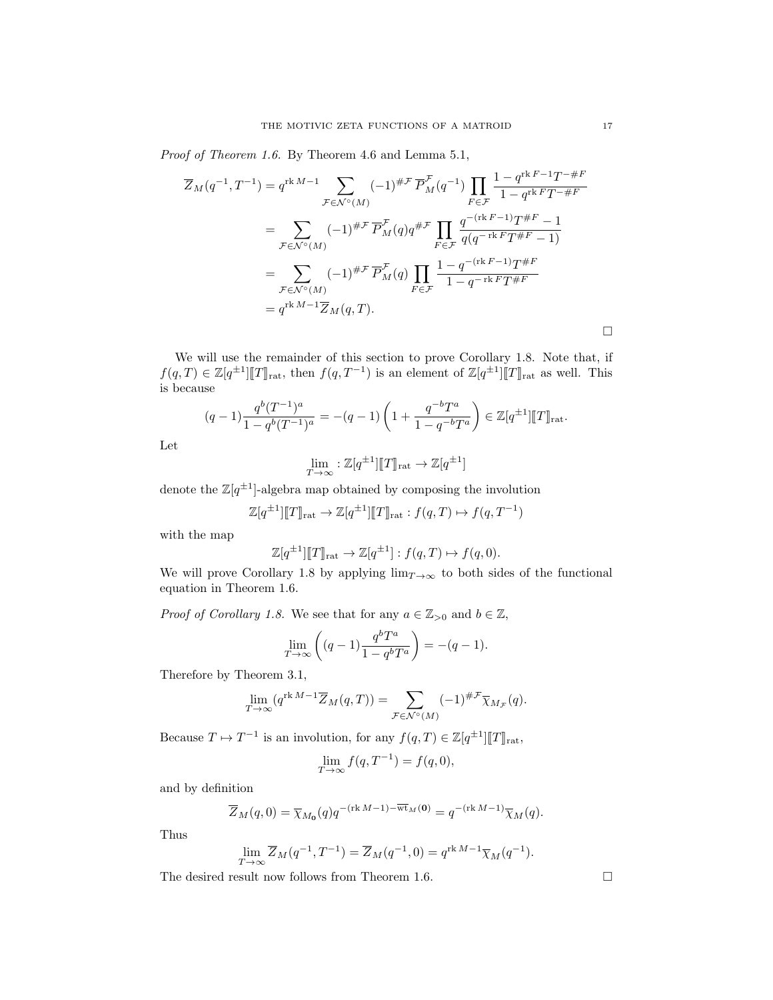Proof of [Theorem 1.6.](#page-2-0) By [Theorem 4.6](#page-12-0) and [Lemma 5.1,](#page-15-1)

$$
\overline{Z}_{M}(q^{-1}, T^{-1}) = q^{\text{rk } M-1} \sum_{\mathcal{F} \in \mathcal{N}^{\circ}(M)} (-1)^{\# \mathcal{F}} \overline{P}_{M}^{\mathcal{F}}(q^{-1}) \prod_{F \in \mathcal{F}} \frac{1 - q^{\text{rk } F-1} T^{-\# F}}{1 - q^{\text{rk } F} T^{-\# F}}
$$
\n
$$
= \sum_{\mathcal{F} \in \mathcal{N}^{\circ}(M)} (-1)^{\# \mathcal{F}} \overline{P}_{M}^{\mathcal{F}}(q) q^{\# \mathcal{F}} \prod_{F \in \mathcal{F}} \frac{q^{-(\text{rk } F-1)} T^{\# F} - 1}{q(q^{-\text{rk } F} T^{\# F} - 1)}
$$
\n
$$
= \sum_{\mathcal{F} \in \mathcal{N}^{\circ}(M)} (-1)^{\# \mathcal{F}} \overline{P}_{M}^{\mathcal{F}}(q) \prod_{F \in \mathcal{F}} \frac{1 - q^{-(\text{rk } F-1)} T^{\# F}}{1 - q^{-\text{rk } F} T^{\# F}}
$$
\n
$$
= q^{\text{rk } M-1} \overline{Z}_{M}(q, T).
$$

We will use the remainder of this section to prove [Corollary 1.8.](#page-3-1) Note that, if  $f(q,T) \in \mathbb{Z}[q^{\pm 1}]\llbracket T \rrbracket_{\text{rat}}$ , then  $f(q,T^{-1})$  is an element of  $\mathbb{Z}[q^{\pm 1}]\llbracket T \rrbracket_{\text{rat}}$  as well. This is because

$$
(q-1)\frac{q^{b}(T^{-1})^a}{1-q^{b}(T^{-1})^a} = -(q-1)\left(1+\frac{q^{-b}T^a}{1-q^{-b}T^a}\right) \in \mathbb{Z}[q^{\pm 1}]\llbracket T \rrbracket_{\text{rat}}.
$$

Let

$$
\lim_{T \to \infty} : \mathbb{Z}[q^{\pm 1}][T]_{\text{rat}} \to \mathbb{Z}[q^{\pm 1}]
$$

denote the  $\mathbb{Z}[q^{\pm 1}]$ -algebra map obtained by composing the involution

$$
\mathbb{Z}[q^{\pm 1}][T]\rbrack_{\text{rat}} \to \mathbb{Z}[q^{\pm 1}][T]\rbrack_{\text{rat}} : f(q, T) \mapsto f(q, T^{-1})
$$

with the map

$$
\mathbb{Z}[q^{\pm 1}]\llbracket T \rrbracket_{\text{rat}} \to \mathbb{Z}[q^{\pm 1}]: f(q, T) \mapsto f(q, 0).
$$

We will prove [Corollary 1.8](#page-3-1) by applying  $\lim_{T\to\infty}$  to both sides of the functional equation in [Theorem 1.6.](#page-2-0)

*Proof of [Corollary 1.8.](#page-3-1)* We see that for any  $a \in \mathbb{Z}_{>0}$  and  $b \in \mathbb{Z}$ ,

$$
\lim_{T \to \infty} \left( (q-1) \frac{q^b T^a}{1 - q^b T^a} \right) = -(q-1).
$$

Therefore by [Theorem 3.1,](#page-8-1)

$$
\lim_{T \to \infty} (q^{\text{rk } M-1} \overline{Z}_M(q, T)) = \sum_{\mathcal{F} \in \mathcal{N}^\circ(M)} (-1)^{\# \mathcal{F}} \overline{\chi}_{M_{\mathcal{F}}}(q).
$$

Because  $T \mapsto T^{-1}$  is an involution, for any  $f(q,T) \in \mathbb{Z}[q^{\pm 1}][T]_{\text{rat}}$ ,

$$
\lim_{T \to \infty} f(q, T^{-1}) = f(q, 0),
$$

and by definition

$$
\overline{Z}_M(q,0) = \overline{\chi}_{M_0}(q) q^{-(\text{rk }M-1) - \overline{\text{wt}}_M(0)} = q^{-(\text{rk }M-1)} \overline{\chi}_M(q).
$$

Thus

$$
\lim_{T\rightarrow\infty}\overline{Z}_M(q^{-1},T^{-1})=\overline{Z}_M(q^{-1},0)=q^{\operatorname{rk} M-1}\overline{\chi}_M(q^{-1}).
$$

The desired result now follows from [Theorem 1.6.](#page-2-0)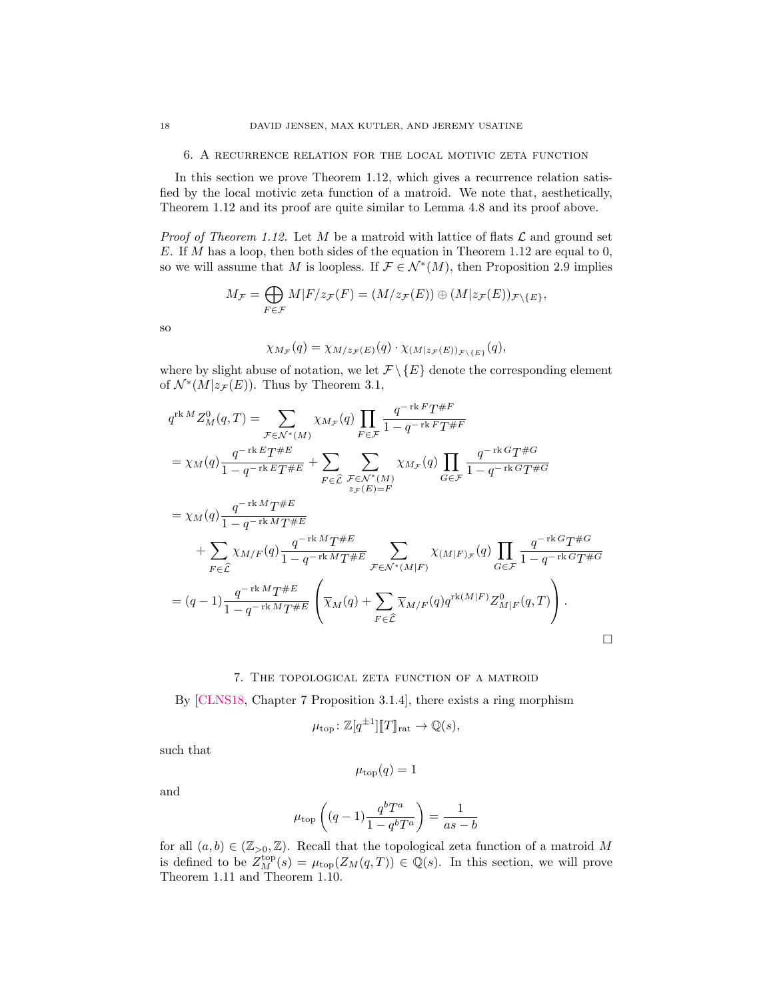6. A recurrence relation for the local motivic zeta function

In this section we prove [Theorem 1.12,](#page-4-0) which gives a recurrence relation satisfied by the local motivic zeta function of a matroid. We note that, aesthetically, [Theorem 1.12](#page-4-0) and its proof are quite similar to [Lemma 4.8](#page-13-0) and its proof above.

*Proof of [Theorem 1.12.](#page-4-0)* Let M be a matroid with lattice of flats  $\mathcal L$  and ground set E. If M has a loop, then both sides of the equation in [Theorem 1.12](#page-4-0) are equal to 0, so we will assume that M is loopless. If  $\mathcal{F} \in \mathcal{N}^*(M)$ , then [Proposition 2.9](#page-7-1) implies

$$
M_{\mathcal{F}} = \bigoplus_{F \in \mathcal{F}} M|F/z_{\mathcal{F}}(F) = (M/z_{\mathcal{F}}(E)) \oplus (M|z_{\mathcal{F}}(E))_{\mathcal{F} \setminus \{E\}},
$$

so

$$
\chi_{M_{\mathcal{F}}}(q) = \chi_{M/z_{\mathcal{F}}(E)}(q) \cdot \chi_{(M|z_{\mathcal{F}}(E))_{\mathcal{F}\backslash\{E\}}}(q),
$$

where by slight abuse of notation, we let  $\mathcal{F} \setminus \{E\}$  denote the corresponding element of  $\mathcal{N}^*(M|z_{\mathcal{F}}(E))$ . Thus by [Theorem 3.1,](#page-8-1)

$$
q^{\text{rk }M} Z_M^0(q,T) = \sum_{\mathcal{F} \in \mathcal{N}^*(M)} \chi_{M_{\mathcal{F}}}(q) \prod_{F \in \mathcal{F}} \frac{q^{-\text{rk }F} T^{\#F}}{1 - q^{-\text{rk }F} T^{\#F}}
$$
  
\n
$$
= \chi_M(q) \frac{q^{-\text{rk }E} T^{\#E}}{1 - q^{-\text{rk }E} T^{\#E}} + \sum_{F \in \hat{\mathcal{L}}} \sum_{\mathcal{F} \in \mathcal{N}^*(M)} \chi_{M_{\mathcal{F}}}(q) \prod_{G \in \mathcal{F}} \frac{q^{-\text{rk }G} T^{\#G}}{1 - q^{-\text{rk }G} T^{\#G}}
$$
  
\n
$$
= \chi_M(q) \frac{q^{-\text{rk }M} T^{\#E}}{1 - q^{-\text{rk }M} T^{\#E}}
$$
  
\n
$$
+ \sum_{F \in \hat{\mathcal{L}}} \chi_{M/F}(q) \frac{q^{-\text{rk }M} T^{\#E}}{1 - q^{-\text{rk }M} T^{\#E}} \sum_{\mathcal{F} \in \mathcal{N}^*(M|F)} \chi_{(M|F)_{\mathcal{F}}}(q) \prod_{G \in \mathcal{F}} \frac{q^{-\text{rk }G} T^{\#G}}{1 - q^{-\text{rk }G} T^{\#G}}
$$
  
\n
$$
= (q-1) \frac{q^{-\text{rk }M} T^{\#E}}{1 - q^{-\text{rk }M} T^{\#E}} \left( \overline{\chi}_M(q) + \sum_{F \in \hat{\mathcal{L}}} \overline{\chi}_{M/F}(q) q^{\text{rk}(M|F)} Z_{M|F}^0(q, T) \right).
$$

## 7. The topological zeta function of a matroid

<span id="page-17-0"></span>By [\[CLNS18,](#page-27-9) Chapter 7 Proposition 3.1.4], there exists a ring morphism

$$
\mu_{\text{top}} \colon \mathbb{Z}[q^{\pm 1}][T]_{\text{rat}} \to \mathbb{Q}(s),
$$

such that

$$
\mu_{\text{top}}(q) = 1
$$

and

$$
\mu_{\text{top}}\left((q-1)\frac{q^b T^a}{1-q^b T^a}\right) = \frac{1}{as-b}
$$

for all  $(a, b) \in (\mathbb{Z}_{>0}, \mathbb{Z})$ . Recall that the topological zeta function of a matroid M is defined to be  $Z_M^{\text{top}}(s) = \mu_{\text{top}}(Z_M(q,T)) \in \mathbb{Q}(s)$ . In this section, we will prove [Theorem 1.11](#page-4-1) and [Theorem 1.10.](#page-4-2)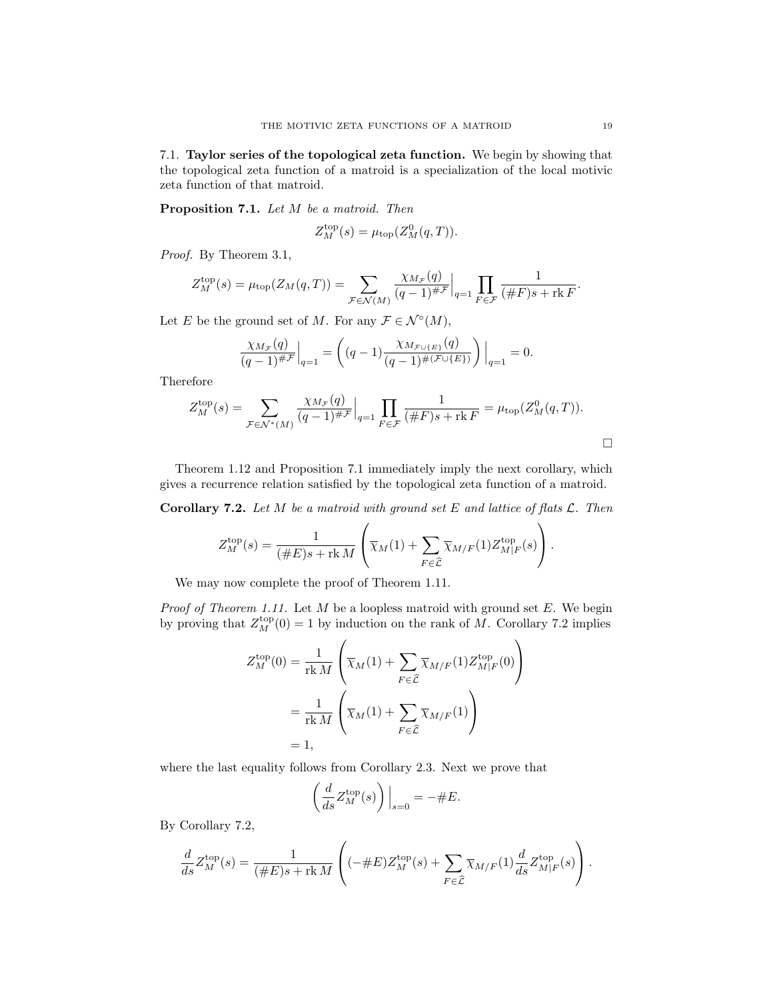7.1. Taylor series of the topological zeta function. We begin by showing that the topological zeta function of a matroid is a specialization of the local motivic zeta function of that matroid.

<span id="page-18-0"></span>Proposition 7.1. Let M be a matroid. Then

$$
Z_M^{\text{top}}(s) = \mu_{\text{top}}(Z_M^0(q, T)).
$$

Proof. By [Theorem 3.1,](#page-8-1)

$$
Z_M^{\text{top}}(s) = \mu_{\text{top}}(Z_M(q,T)) = \sum_{\mathcal{F} \in \mathcal{N}(M)} \frac{\chi_{M_{\mathcal{F}}}(q)}{(q-1)^{\# \mathcal{F}}} \Big|_{q=1} \prod_{F \in \mathcal{F}} \frac{1}{(\# F)s + \text{rk } F}.
$$

Let E be the ground set of M. For any  $\mathcal{F} \in \mathcal{N}^{\circ}(M)$ ,

$$
\frac{\chi_{M_{\mathcal{F}}}(q)}{(q-1)^{\# \mathcal{F}}}\Big|_{q=1} = \left( (q-1) \frac{\chi_{M_{\mathcal{F} \cup \{E\}}}(q)}{(q-1)^{\# (\mathcal{F} \cup \{E\})}} \right)\Big|_{q=1} = 0.
$$

Therefore

$$
Z_M^{\text{top}}(s) = \sum_{\mathcal{F} \in \mathcal{N}^*(M)} \frac{\chi_{M_{\mathcal{F}}}(q)}{(q-1)^{\# \mathcal{F}}} \Big|_{q=1} \prod_{F \in \mathcal{F}} \frac{1}{(\# F)s + \text{rk } F} = \mu_{\text{top}}(Z_M^0(q, T)).
$$

[Theorem 1.12](#page-4-0) and [Proposition 7.1](#page-18-0) immediately imply the next corollary, which gives a recurrence relation satisfied by the topological zeta function of a matroid.

<span id="page-18-1"></span>**Corollary 7.2.** Let M be a matroid with ground set E and lattice of flats  $\mathcal{L}$ . Then

$$
Z_M^{\text{top}}(s) = \frac{1}{(\#E)s + \text{rk }M} \left( \overline{\chi}_M(1) + \sum_{F \in \widehat{\mathcal{L}}} \overline{\chi}_{M/F}(1) Z_{M/F}^{\text{top}}(s) \right).
$$

We may now complete the proof of [Theorem 1.11.](#page-4-1)

*Proof of [Theorem 1.11.](#page-4-1)* Let  $M$  be a loopless matroid with ground set  $E$ . We begin by proving that  $Z_M^{\text{top}}(0) = 1$  by induction on the rank of M. [Corollary 7.2](#page-18-1) implies

$$
Z_M^{\text{top}}(0) = \frac{1}{\text{rk } M} \left( \overline{\chi}_M(1) + \sum_{F \in \widehat{\mathcal{L}}} \overline{\chi}_{M/F}(1) Z_{M|F}^{\text{top}}(0) \right)
$$
  
= 
$$
\frac{1}{\text{rk } M} \left( \overline{\chi}_M(1) + \sum_{F \in \widehat{\mathcal{L}}} \overline{\chi}_{M/F}(1) \right)
$$
  
= 1,

where the last equality follows from [Corollary 2.3.](#page-5-1) Next we prove that

$$
\left(\frac{d}{ds}Z_M^{\text{top}}(s)\right)\Big|_{s=0} = -\#E.
$$

By [Corollary 7.2,](#page-18-1)

$$
\frac{d}{ds}Z_M^{\text{top}}(s) = \frac{1}{(\#E)s + \text{rk }M} \left( (-\#E) Z_M^{\text{top}}(s) + \sum_{F \in \hat{\mathcal{L}}} \overline{\chi}_{M/F}(1) \frac{d}{ds} Z_{M|F}^{\text{top}}(s) \right).
$$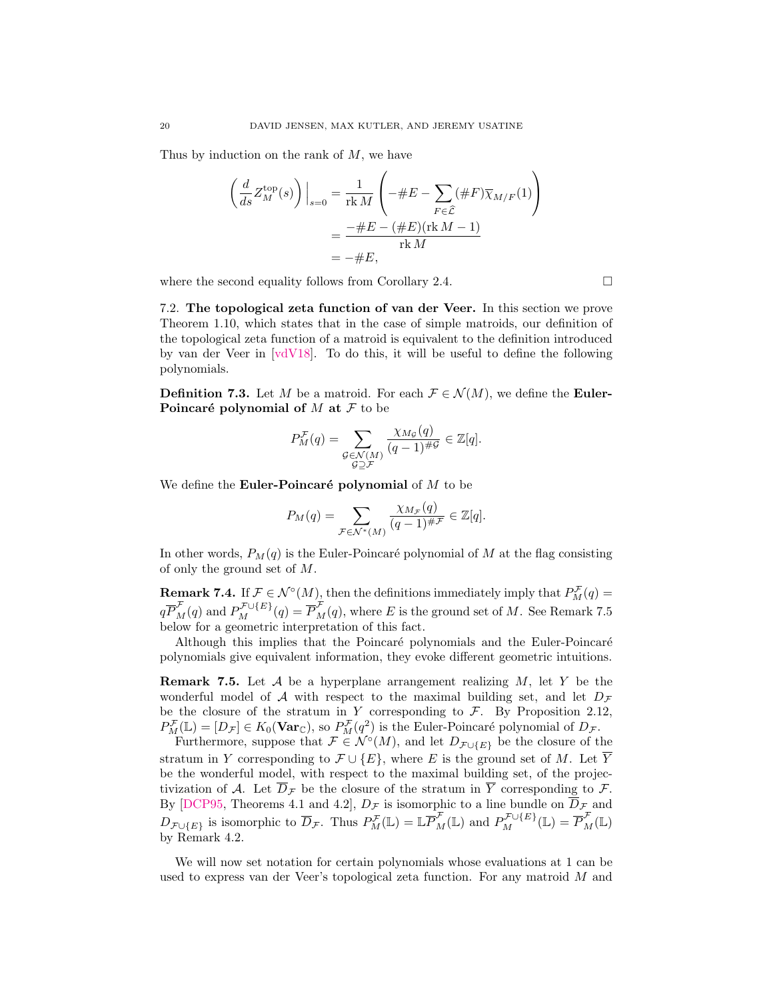Thus by induction on the rank of  $M$ , we have

$$
\left(\frac{d}{ds}Z_M^{\text{top}}(s)\right)\Big|_{s=0} = \frac{1}{\text{rk }M} \left(-\#E - \sum_{F \in \hat{\mathcal{L}}} (\#F)\overline{\chi}_{M/F}(1)\right)
$$

$$
= \frac{-\#E - (\#E)(\text{rk }M - 1)}{\text{rk }M}
$$

$$
= -\#E,
$$

where the second equality follows from [Corollary 2.4.](#page-5-2)  $\Box$ 

7.2. The topological zeta function of van der Veer. In this section we prove [Theorem 1.10,](#page-4-2) which states that in the case of simple matroids, our definition of the topological zeta function of a matroid is equivalent to the definition introduced by van der Veer in [\[vdV18\]](#page-27-5). To do this, it will be useful to define the following polynomials.

<span id="page-19-0"></span>**Definition 7.3.** Let M be a matroid. For each  $\mathcal{F} \in \mathcal{N}(M)$ , we define the **Euler-**Poincaré polynomial of  $M$  at  $\mathcal F$  to be

$$
P_M^{\mathcal{F}}(q) = \sum_{\substack{\mathcal{G} \in \mathcal{N}(M) \\ \mathcal{G} \supseteq \mathcal{F}}} \frac{\chi_{M_{\mathcal{G}}}(q)}{(q-1)^{\#\mathcal{G}}} \in \mathbb{Z}[q].
$$

We define the **Euler-Poincaré polynomial** of  $M$  to be

$$
P_M(q) = \sum_{\mathcal{F} \in \mathcal{N}^*(M)} \frac{\chi_{M_{\mathcal{F}}}(q)}{(q-1)^{\# \mathcal{F}}} \in \mathbb{Z}[q].
$$

In other words,  $P_M(q)$  is the Euler-Poincaré polynomial of M at the flag consisting of only the ground set of M.

<span id="page-19-2"></span>**Remark 7.4.** If  $\mathcal{F} \in \mathcal{N}^{\circ}(M)$ , then the definitions immediately imply that  $P_M^{\mathcal{F}}(q)$  =  $q \overline{P}_{M}^{\mathcal{F}}(q)$  and  $P_{M}^{\mathcal{F}\cup\{E\}}(q) = \overline{P}_{M}^{\mathcal{F}}(q)$ , where E is the ground set of M. See [Remark 7.5](#page-19-1) below for a geometric interpretation of this fact.

Although this implies that the Poincaré polynomials and the Euler-Poincaré polynomials give equivalent information, they evoke different geometric intuitions.

<span id="page-19-1"></span>**Remark 7.5.** Let  $\mathcal A$  be a hyperplane arrangement realizing  $M$ , let Y be the wonderful model of A with respect to the maximal building set, and let  $D<sub>F</sub>$ be the closure of the stratum in Y corresponding to  $\mathcal{F}$ . By [Proposition 2.12,](#page-8-2)  $P_M^{\mathcal{F}}(\mathbb{L}) = [D_{\mathcal{F}}] \in K_0(\mathbf{Var}_{\mathbb{C}}),$  so  $P_M^{\mathcal{F}}(q^2)$  is the Euler-Poincaré polynomial of  $D_{\mathcal{F}}$ .

Furthermore, suppose that  $\mathcal{F} \in \mathcal{N}^{\circ}(M)$ , and let  $D_{\mathcal{F} \cup \{E\}}$  be the closure of the stratum in Y corresponding to  $\mathcal{F} \cup \{E\}$ , where E is the ground set of M. Let  $\overline{Y}$ be the wonderful model, with respect to the maximal building set, of the projectivization of A. Let  $\overline{D}_{\mathcal{F}}$  be the closure of the stratum in  $\overline{Y}$  corresponding to  $\mathcal{F}$ . By [\[DCP95,](#page-27-11) Theorems 4.1 and 4.2],  $D_{\mathcal{F}}$  is isomorphic to a line bundle on  $\overline{D}_{\mathcal{F}}$  and  $D_{\mathcal{F}\cup\{E\}}$  is isomorphic to  $\overline{D}_{\mathcal{F}}$ . Thus  $P_M^{\mathcal{F}}(\mathbb{L}) = \mathbb{L} \overline{P}_M^{\mathcal{F}}(\mathbb{L})$  and  $P_M^{\mathcal{F}\cup\{E\}}(\mathbb{L}) = \overline{P}_M^{\mathcal{F}}(\mathbb{L})$ by [Remark 4.2.](#page-11-3)

We will now set notation for certain polynomials whose evaluations at 1 can be used to express van der Veer's topological zeta function. For any matroid M and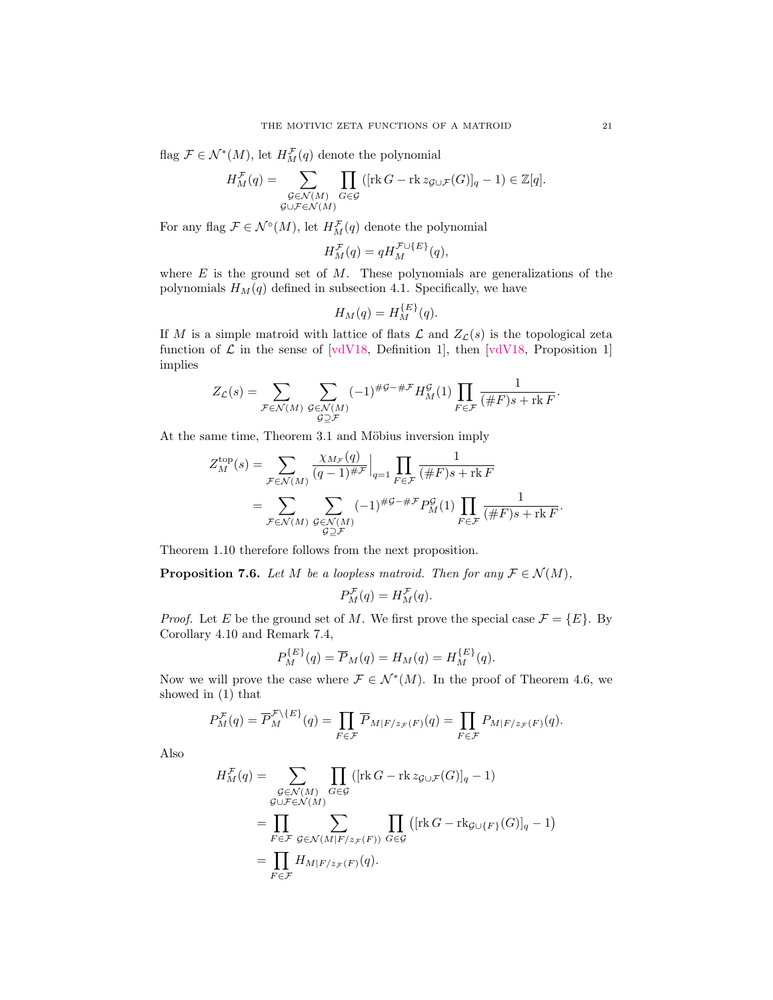flag  $\mathcal{F} \in \mathcal{N}^*(M)$ , let  $H_M^{\mathcal{F}}(q)$  denote the polynomial

$$
H^{\mathcal{F}}_M(q)=\sum_{\substack{\mathcal{G}\in \mathcal{N}(M)\\\mathcal{G}\cup\mathcal{F}\in \mathcal{N}(M)}}\prod_{G\in\mathcal{G}}\left([\mathop{\rm rk}\nolimits G-\mathop{\rm rk} z_{\mathcal{G}\cup\mathcal{F}}(G)]_q-1\right)\in\mathbb{Z}[q].
$$

For any flag  $\mathcal{F} \in \mathcal{N}^{\circ}(M)$ , let  $H_M^{\mathcal{F}}(q)$  denote the polynomial

$$
H_M^{\mathcal{F}}(q) = q H_M^{\mathcal{F} \cup \{E\}}(q),
$$

where  $E$  is the ground set of  $M$ . These polynomials are generalizations of the polynomials  $H_M(q)$  defined in [subsection 4.1.](#page-13-1) Specifically, we have

$$
H_M(q) = H_M^{\{E\}}(q).
$$

If M is a simple matroid with lattice of flats  $\mathcal L$  and  $Z_{\mathcal L}(s)$  is the topological zeta function of  $\mathcal L$  in the sense of [\[vdV18,](#page-27-5) Definition 1], then [vdV18, Proposition 1] implies

$$
Z_{\mathcal{L}}(s) = \sum_{\mathcal{F} \in \mathcal{N}(M)} \sum_{\substack{\mathcal{G} \in \mathcal{N}(M) \\ \mathcal{G} \supseteq \mathcal{F}}} (-1)^{\# \mathcal{G} - \# \mathcal{F}} H_M^{\mathcal{G}}(1) \prod_{F \in \mathcal{F}} \frac{1}{(\# F)s + \operatorname{rk} F}.
$$

At the same time, [Theorem 3.1](#page-8-1) and Möbius inversion imply

 $\lambda$ 

$$
Z_M^{\text{top}}(s) = \sum_{\mathcal{F} \in \mathcal{N}(M)} \frac{\chi_{M_{\mathcal{F}}}(q)}{(q-1)^{\# \mathcal{F}}} \Big|_{q=1} \prod_{F \in \mathcal{F}} \frac{1}{(\# F)s + \text{rk } F}
$$
  
= 
$$
\sum_{\mathcal{F} \in \mathcal{N}(M)} \sum_{\substack{G \in \mathcal{N}(M) \\ G \supseteq \mathcal{F}}} (-1)^{\# \mathcal{G} - \# \mathcal{F}} P_M^{\mathcal{G}}(1) \prod_{F \in \mathcal{F}} \frac{1}{(\# F)s + \text{rk } F}.
$$

[Theorem 1.10](#page-4-2) therefore follows from the next proposition.

<span id="page-20-0"></span>**Proposition 7.6.** Let M be a loopless matroid. Then for any  $\mathcal{F} \in \mathcal{N}(M)$ ,

$$
P_M^{\mathcal{F}}(q) = H_M^{\mathcal{F}}(q).
$$

*Proof.* Let E be the ground set of M. We first prove the special case  $\mathcal{F} = \{E\}$ . By [Corollary 4.10](#page-14-1) and [Remark 7.4,](#page-19-2)

$$
P_M^{\{E\}}(q) = \overline{P}_M(q) = H_M(q) = H_M^{\{E\}}(q).
$$

Now we will prove the case where  $\mathcal{F} \in \mathcal{N}^*(M)$ . In the proof of [Theorem 4.6,](#page-12-0) we showed in [\(1\)](#page-12-1) that

$$
P_M^{\mathcal{F}}(q) = \overline{P}_M^{\mathcal{F}\backslash\{E\}}(q) = \prod_{F \in \mathcal{F}} \overline{P}_{M|F/z_{\mathcal{F}}(F)}(q) = \prod_{F \in \mathcal{F}} P_{M|F/z_{\mathcal{F}}(F)}(q).
$$

Also

$$
H_M^{\mathcal{F}}(q) = \sum_{\substack{\mathcal{G} \in \mathcal{N}(M) \\ \mathcal{G} \cup \mathcal{F} \in \mathcal{N}(M)}} \prod_{G \in \mathcal{G}} ([\text{rk } G - \text{rk } z_{\mathcal{G} \cup \mathcal{F}}(G)]_q - 1)
$$
  
= 
$$
\prod_{F \in \mathcal{F}} \sum_{\substack{\mathcal{G} \in \mathcal{N}(M|F/z_{\mathcal{F}}(F)) \\ \mathcal{F} \in \mathcal{F}}} \prod_{G \in \mathcal{G}} ([\text{rk } G - \text{rk}_{\mathcal{G} \cup \{F\}}(G)]_q - 1)
$$
  
= 
$$
\prod_{F \in \mathcal{F}} H_{M|F/z_{\mathcal{F}}(F)}(q).
$$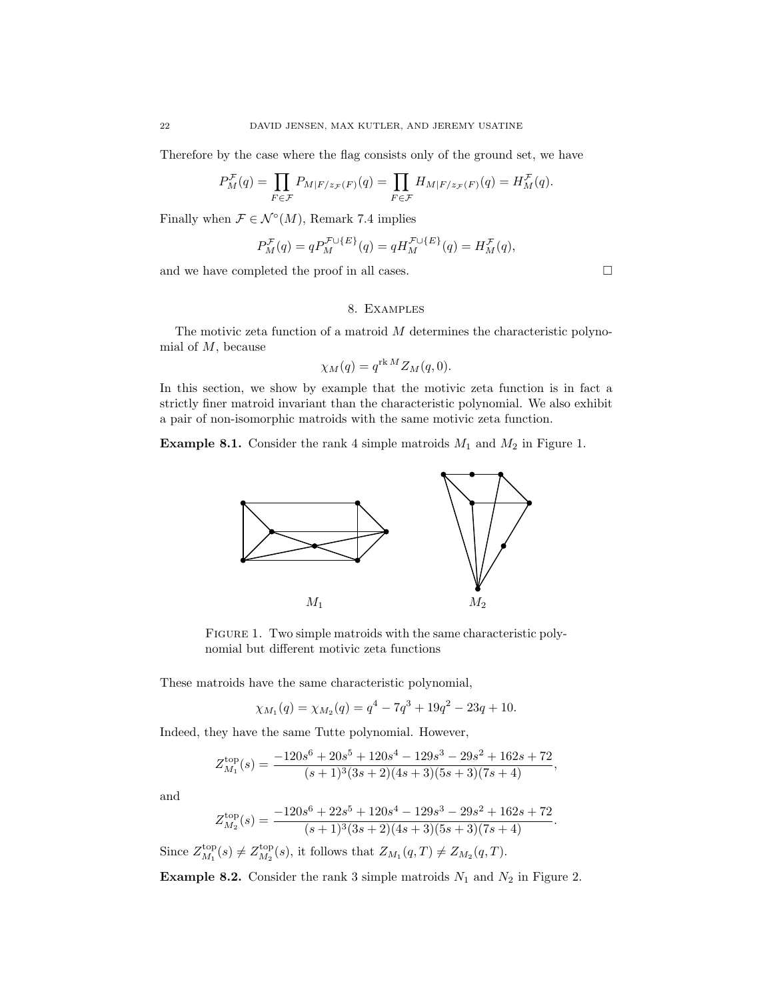Therefore by the case where the flag consists only of the ground set, we have

$$
P_M^{\mathcal{F}}(q) = \prod_{F \in \mathcal{F}} P_{M|F/z_{\mathcal{F}}(F)}(q) = \prod_{F \in \mathcal{F}} H_{M|F/z_{\mathcal{F}}(F)}(q) = H_M^{\mathcal{F}}(q).
$$

Finally when  $\mathcal{F} \in \mathcal{N}^{\circ}(M)$ , [Remark 7.4](#page-19-2) implies

$$
P_M^{\mathcal{F}}(q) = q P_M^{\mathcal{F} \cup \{E\}}(q) = q H_M^{\mathcal{F} \cup \{E\}}(q) = H_M^{\mathcal{F}}(q),
$$

and we have completed the proof in all cases.  $\hfill \square$ 

## 8. Examples

<span id="page-21-0"></span>The motivic zeta function of a matroid  $M$  determines the characteristic polynomial of  $M$ , because

$$
\chi_M(q) = q^{\text{rk }M} Z_M(q,0).
$$

In this section, we show by example that the motivic zeta function is in fact a strictly finer matroid invariant than the characteristic polynomial. We also exhibit a pair of non-isomorphic matroids with the same motivic zeta function.

**Example 8.1.** Consider the rank 4 simple matroids  $M_1$  and  $M_2$  in [Figure 1.](#page-21-1)



<span id="page-21-1"></span>FIGURE 1. Two simple matroids with the same characteristic polynomial but different motivic zeta functions

These matroids have the same characteristic polynomial,

$$
\chi_{M_1}(q) = \chi_{M_2}(q) = q^4 - 7q^3 + 19q^2 - 23q + 10.
$$

Indeed, they have the same Tutte polynomial. However,

$$
Z_{M_1}^{\text{top}}(s) = \frac{-120s^6 + 20s^5 + 120s^4 - 129s^3 - 29s^2 + 162s + 72}{(s+1)^3(3s+2)(4s+3)(5s+3)(7s+4)},
$$

and

$$
Z_{M_2}^{\text{top}}(s) = \frac{-120s^6 + 22s^5 + 120s^4 - 129s^3 - 29s^2 + 162s + 72}{(s+1)^3(3s+2)(4s+3)(5s+3)(7s+4)}.
$$

Since  $Z_{M_1}^{\text{top}}(s) \neq Z_{M_2}^{\text{top}}(s)$ , it follows that  $Z_{M_1}(q,T) \neq Z_{M_2}(q,T)$ .

**Example 8.2.** Consider the rank 3 simple matroids  $N_1$  and  $N_2$  in [Figure 2.](#page-22-1)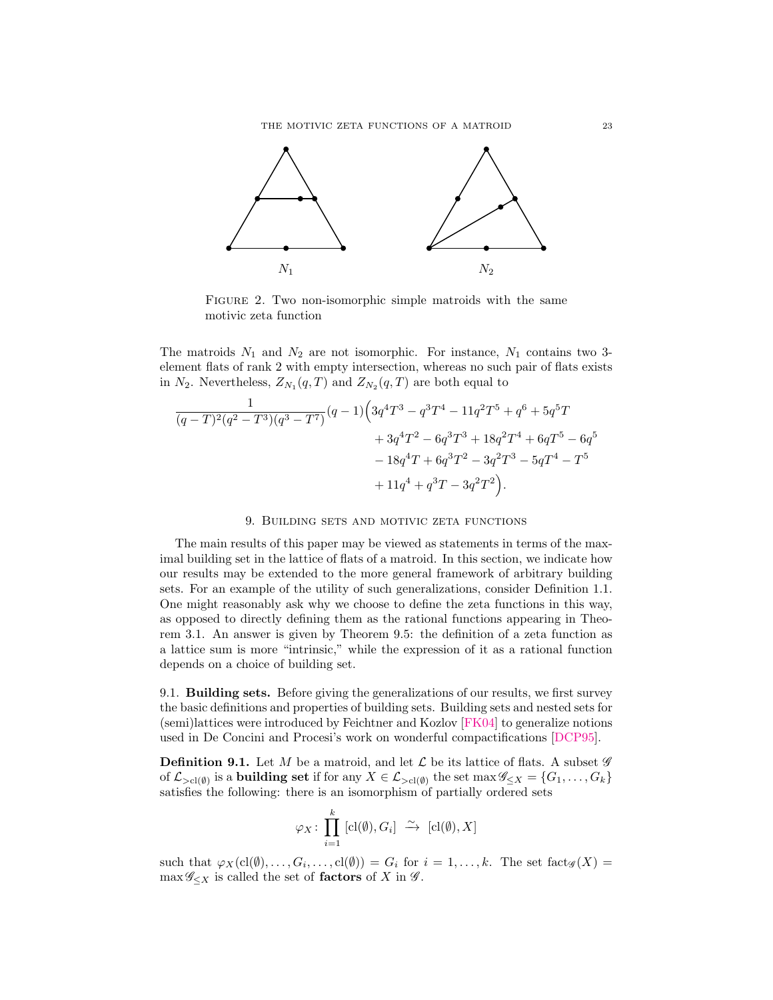

<span id="page-22-1"></span>FIGURE 2. Two non-isomorphic simple matroids with the same motivic zeta function

The matroids  $N_1$  and  $N_2$  are not isomorphic. For instance,  $N_1$  contains two 3element flats of rank 2 with empty intersection, whereas no such pair of flats exists in  $N_2$ . Nevertheless,  $Z_{N_1}(q,T)$  and  $Z_{N_2}(q,T)$  are both equal to

$$
\begin{aligned} \frac{1}{(q-T)^2(q^2-T^3)(q^3-T^7)}(q-1)\Big(3q^4T^3-q^3T^4-11q^2T^5+q^6+5q^5T\\ &+3q^4T^2-6q^3T^3+18q^2T^4+6qT^5-6q^5\\ &-18q^4T+6q^3T^2-3q^2T^3-5qT^4-T^5\\ &+11q^4+q^3T-3q^2T^2\Big). \end{aligned}
$$

## 9. Building sets and motivic zeta functions

<span id="page-22-0"></span>The main results of this paper may be viewed as statements in terms of the maximal building set in the lattice of flats of a matroid. In this section, we indicate how our results may be extended to the more general framework of arbitrary building sets. For an example of the utility of such generalizations, consider [Definition 1.1.](#page-1-0) One might reasonably ask why we choose to define the zeta functions in this way, as opposed to directly defining them as the rational functions appearing in [Theo](#page-8-1)[rem 3.1.](#page-8-1) An answer is given by [Theorem 9.5:](#page-23-0) the definition of a zeta function as a lattice sum is more "intrinsic," while the expression of it as a rational function depends on a choice of building set.

9.1. Building sets. Before giving the generalizations of our results, we first survey the basic definitions and properties of building sets. Building sets and nested sets for (semi)lattices were introduced by Feichtner and Kozlov [\[FK04\]](#page-27-12) to generalize notions used in De Concini and Procesi's work on wonderful compactifications [\[DCP95\]](#page-27-11).

**Definition 9.1.** Let M be a matroid, and let  $\mathcal{L}$  be its lattice of flats. A subset  $\mathscr{G}$ of  $\mathcal{L}_{>cl(\emptyset)}$  is a **building set** if for any  $X \in \mathcal{L}_{>cl(\emptyset)}$  the set max  $\mathscr{G}_{\leq X} = \{G_1, \ldots, G_k\}$ satisfies the following: there is an isomorphism of partially ordered sets

$$
\varphi_X \colon \prod_{i=1}^k \text{[cl}(\emptyset), G_i] \xrightarrow{\sim} \text{[cl}(\emptyset), X]
$$

such that  $\varphi_X(\text{cl}(\emptyset),...,G_i,...,\text{cl}(\emptyset)) = G_i$  for  $i = 1,...,k$ . The set  $\text{fact}_{\mathscr{G}}(X) =$  $\max \mathscr{G}_{\leq X}$  is called the set of **factors** of X in  $\mathscr{G}$ .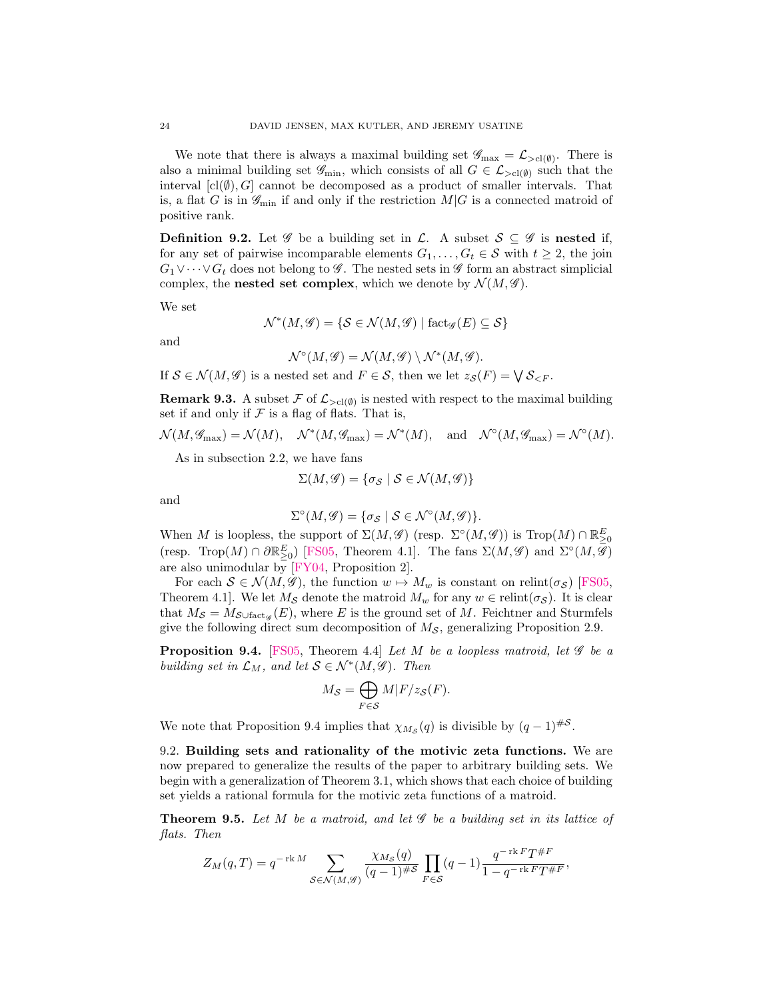We note that there is always a maximal building set  $\mathscr{G}_{\text{max}} = \mathcal{L}_{>cl(\emptyset)}$ . There is also a minimal building set  $\mathscr{G}_{\text{min}}$ , which consists of all  $G \in \mathcal{L}_{>cl(\emptyset)}$  such that the interval  $[c(\emptyset), G]$  cannot be decomposed as a product of smaller intervals. That is, a flat G is in  $\mathscr{G}_{\text{min}}$  if and only if the restriction  $M|G$  is a connected matroid of positive rank.

**Definition 9.2.** Let  $\mathscr G$  be a building set in  $\mathscr L$ . A subset  $\mathscr S \subseteq \mathscr G$  is nested if, for any set of pairwise incomparable elements  $G_1, \ldots, G_t \in \mathcal{S}$  with  $t \geq 2$ , the join  $G_1 \vee \cdots \vee G_t$  does not belong to  $\mathscr G$ . The nested sets in  $\mathscr G$  form an abstract simplicial complex, the **nested set complex**, which we denote by  $\mathcal{N}(M, \mathscr{G})$ .

We set

$$
\mathcal{N}^*(M, \mathscr{G}) = \{ \mathcal{S} \in \mathcal{N}(M, \mathscr{G}) \mid \mathrm{fact}_{\mathscr{G}}(E) \subseteq \mathcal{S} \}
$$

and

$$
\mathcal{N}^{\circ}(M,\mathscr{G})=\mathcal{N}(M,\mathscr{G})\setminus \mathcal{N}^*(M,\mathscr{G}).
$$

If  $S \in \mathcal{N}(M, \mathscr{G})$  is a nested set and  $F \in \mathcal{S}$ , then we let  $z_{\mathcal{S}}(F) = \bigvee \mathcal{S}_{\leq F}$ .

**Remark 9.3.** A subset  $\mathcal{F}$  of  $\mathcal{L}_{>cl(\emptyset)}$  is nested with respect to the maximal building set if and only if  $\mathcal F$  is a flag of flats. That is,

$$
\mathcal{N}(M, \mathcal{G}_{\max}) = \mathcal{N}(M), \quad \mathcal{N}^*(M, \mathcal{G}_{\max}) = \mathcal{N}^*(M), \quad \text{and} \quad \mathcal{N}^\circ(M, \mathcal{G}_{\max}) = \mathcal{N}^\circ(M).
$$

As in [subsection 2.2,](#page-6-1) we have fans

$$
\Sigma(M,\mathscr{G}) = \{ \sigma_{\mathcal{S}} \mid \mathcal{S} \in \mathcal{N}(M,\mathscr{G}) \}
$$

and

$$
\Sigma^{\circ}(M,\mathscr{G}) = \{\sigma_{\mathcal{S}} \mid \mathcal{S} \in \mathcal{N}^{\circ}(M,\mathscr{G})\}.
$$

When M is loopless, the support of  $\Sigma(M, \mathscr{G})$  (resp.  $\Sigma^{\circ}(M, \mathscr{G}))$  is  $\text{Trop}(M) \cap \mathbb{R}_{\geq 0}^E$ (resp. Trop $(M) \cap \partial \mathbb{R}_{\geq 0}^E$ ) [\[FS05,](#page-27-17) Theorem 4.1]. The fans  $\Sigma(M, \mathscr{G})$  and  $\Sigma^{\circ}(M, \overline{\mathscr{G}})$ are also unimodular by [\[FY04,](#page-27-0) Proposition 2].

For each  $S \in \mathcal{N}(M, \mathscr{G})$ , the function  $w \mapsto M_w$  is constant on relint( $\sigma_S$ ) [\[FS05,](#page-27-17) Theorem 4.1]. We let  $M_{\mathcal{S}}$  denote the matroid  $M_w$  for any  $w \in \text{relint}(\sigma_{\mathcal{S}})$ . It is clear that  $M_{\mathcal{S}} = M_{\mathcal{S} \cup \text{fact}_{\mathscr{G}}}(E)$ , where E is the ground set of M. Feichtner and Sturmfels give the following direct sum decomposition of  $M_s$ , generalizing [Proposition 2.9.](#page-7-1)

<span id="page-23-1"></span>**Proposition 9.4.** [\[FS05,](#page-27-17) Theorem 4.4] Let M be a loopless matroid, let  $\mathscr G$  be a building set in  $\mathcal{L}_M$ , and let  $\mathcal{S} \in \mathcal{N}^*(M, \mathscr{G})$ . Then

$$
M_{\mathcal{S}} = \bigoplus_{F \in \mathcal{S}} M|F/z_{\mathcal{S}}(F).
$$

We note that [Proposition 9.4](#page-23-1) implies that  $\chi_{M_{\mathcal{S}}}(q)$  is divisible by  $(q-1)^{\#\mathcal{S}}$ .

9.2. Building sets and rationality of the motivic zeta functions. We are now prepared to generalize the results of the paper to arbitrary building sets. We begin with a generalization of [Theorem 3.1,](#page-8-1) which shows that each choice of building set yields a rational formula for the motivic zeta functions of a matroid.

<span id="page-23-0"></span>**Theorem 9.5.** Let M be a matroid, and let  $\mathscr G$  be a building set in its lattice of flats. Then

$$
Z_M(q,T) = q^{-\operatorname{rk} M} \sum_{\mathcal{S} \in \mathcal{N}(M,\mathscr{G})} \frac{\chi_{M_{\mathcal{S}}}(q)}{(q-1)^{\# \mathcal{S}}} \prod_{F \in \mathcal{S}} (q-1) \frac{q^{-\operatorname{rk} F} T^{\# F}}{1-q^{-\operatorname{rk} F} T^{\# F}},
$$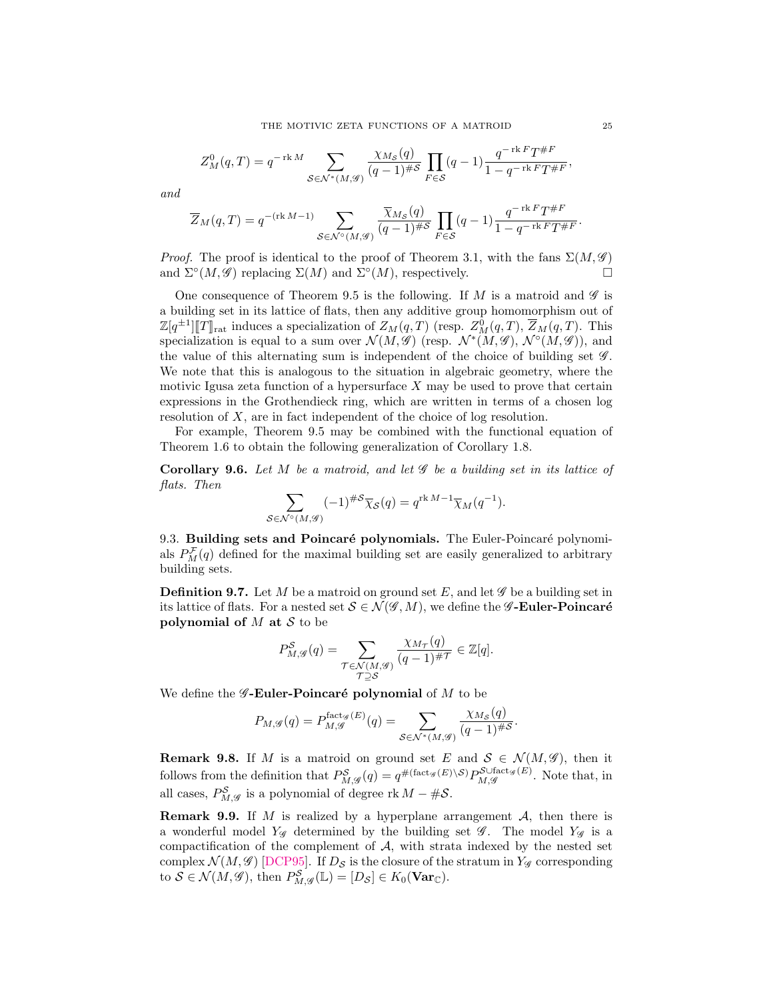$$
Z_M^0(q,T) = q^{-\text{rk }M} \sum_{\mathcal{S} \in \mathcal{N}^*(M,\mathcal{G})} \frac{\chi_{M_{\mathcal{S}}}(q)}{(q-1)^{\# \mathcal{S}}} \prod_{F \in \mathcal{S}} (q-1) \frac{q^{-\text{rk }F} T^{\# F}}{1 - q^{-\text{rk }F} T^{\# F}},
$$

and

$$
\overline{Z}_M(q,T) = q^{-(\operatorname{rk} M-1)} \sum_{\mathcal{S} \in \mathcal{N}^\diamond(M, \mathscr{G})} \frac{\overline{\chi}_{M_{\mathcal{S}}}(q)}{(q-1)^{\# \mathcal{S}}} \prod_{F \in \mathcal{S}} (q-1) \frac{q^{-\operatorname{rk} F} T^{\# F}}{1-q^{-\operatorname{rk} F} T^{\# F}}
$$

*Proof.* The proof is identical to the proof of [Theorem 3.1,](#page-8-1) with the fans  $\Sigma(M, \mathscr{G})$ and  $\Sigma^{\circ}(M, \mathscr{G})$  replacing  $\Sigma(M)$  and  $\Sigma^{\circ}(M)$ , respectively.

One consequence of [Theorem 9.5](#page-23-0) is the following. If M is a matroid and  $\mathscr G$  is a building set in its lattice of flats, then any additive group homomorphism out of  $\mathbb{Z}[q^{\pm 1}][T]_{\rm rat}$  induces a specialization of  $Z_M(q,T)$  (resp.  $Z_M^0(q,T), \overline{Z}_M(q,T)$ ). This specialization is equal to a sum over  $\mathcal{N}(M, \mathscr{G})$  (resp.  $\mathcal{N}^*(M, \mathscr{G})$ ,  $\mathcal{N}^{\circ}(M, \mathscr{G})$ ), and the value of this alternating sum is independent of the choice of building set  $\mathscr{G}$ . We note that this is analogous to the situation in algebraic geometry, where the motivic Igusa zeta function of a hypersurface  $X$  may be used to prove that certain expressions in the Grothendieck ring, which are written in terms of a chosen log resolution of X, are in fact independent of the choice of log resolution.

For example, [Theorem 9.5](#page-23-0) may be combined with the functional equation of [Theorem 1.6](#page-2-0) to obtain the following generalization of [Corollary 1.8.](#page-3-1)

<span id="page-24-0"></span>Corollary 9.6. Let  $M$  be a matroid, and let  $\mathscr G$  be a building set in its lattice of flats. Then

$$
\sum_{\mathcal{S}\in\mathcal{N}^{\circ}(M,\mathcal{G})}(-1)^{\#S}\overline{\chi}_{\mathcal{S}}(q)=q^{\text{rk }M-1}\overline{\chi}_{M}(q^{-1}).
$$

9.3. Building sets and Poincaré polynomials. The Euler-Poincaré polynomials  $P_M^{\mathcal{F}}(q)$  defined for the maximal building set are easily generalized to arbitrary building sets.

**Definition 9.7.** Let M be a matroid on ground set E, and let  $\mathscr G$  be a building set in its lattice of flats. For a nested set  $S \in \mathcal{N}(\mathscr{G},M)$ , we define the  $\mathscr{G}\text{-Euler-Poincaré}$ polynomial of  $M$  at  $S$  to be

$$
P_{M,\mathscr{G}}^{\mathcal{S}}(q) = \sum_{\substack{\mathcal{T} \in \mathcal{N}(M,\mathscr{G}) \\ \mathcal{T} \supseteq \mathcal{S}}} \frac{\chi_{M_{\mathcal{T}}}(q)}{(q-1)^{\# \mathcal{T}}} \in \mathbb{Z}[q].
$$

We define the  $\mathscr G$ -Euler-Poincaré polynomial of M to be

$$
P_{M,\mathscr{G}}(q) = P_{M,\mathscr{G}}^{\text{fact}_{\mathscr{G}}(E)}(q) = \sum_{\mathcal{S} \in \mathcal{N}^*(M,\mathscr{G})} \frac{\chi_{M_{\mathcal{S}}}(q)}{(q-1)^{\# \mathcal{S}}}.
$$

**Remark 9.8.** If M is a matroid on ground set E and  $S \in \mathcal{N}(M, \mathscr{G})$ , then it follows from the definition that  $P_{M,\mathscr{G}}^{\mathcal{S}}(q) = q^{\#(\text{fact}_{\mathscr{G}}(E)\setminus S)} P_{M,\mathscr{G}}^{\text{SUfact}_{\mathscr{G}}(E)}$ . Note that, in all cases,  $P_{M, \mathscr{G}}^{\mathcal{S}}$  is a polynomial of degree rk  $M - \#S$ .

**Remark 9.9.** If M is realized by a hyperplane arrangement  $A$ , then there is a wonderful model  $Y_{\mathscr{G}}$  determined by the building set  $\mathscr{G}$ . The model  $Y_{\mathscr{G}}$  is a compactification of the complement of  $A$ , with strata indexed by the nested set complex  $\mathcal{N}(M, \mathcal{G})$  [\[DCP95\]](#page-27-11). If  $D_{\mathcal{S}}$  is the closure of the stratum in  $Y_{\mathcal{G}}$  corresponding to  $S \in \mathcal{N}(M, \mathscr{G})$ , then  $P_{M, \mathscr{G}}^S(\mathbb{L}) = [D_{\mathcal{S}}] \in K_0(\mathbf{Var}_{\mathbb{C}})$ .

.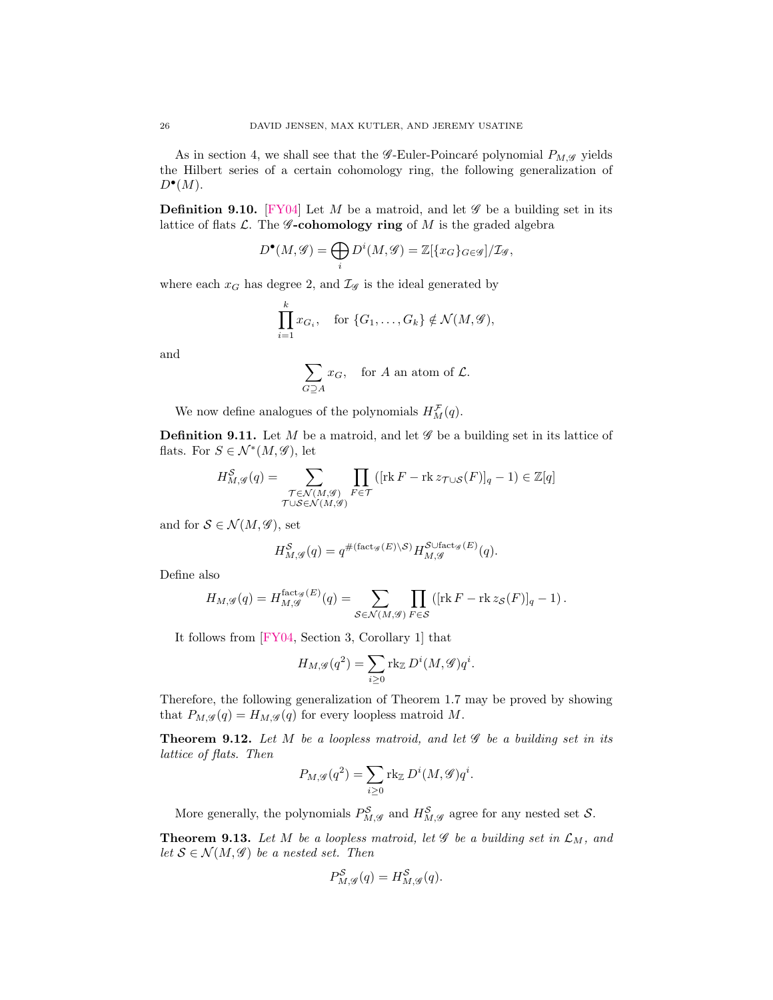As in [section 4,](#page-11-0) we shall see that the *G*-Euler-Poincaré polynomial  $P_{M,\mathscr{G}}$  yields the Hilbert series of a certain cohomology ring, the following generalization of  $D^{\bullet}(M)$ .

**Definition 9.10.** [\[FY04\]](#page-27-0) Let M be a matroid, and let  $\mathscr G$  be a building set in its lattice of flats  $\mathcal{L}$ . The **G**-cohomology ring of M is the graded algebra

$$
D^{\bullet}(M,\mathscr{G})=\bigoplus_i D^i(M,\mathscr{G})=\mathbb{Z}[\{x_G\}_{G\in\mathscr{G}}]/\mathcal{I}_{\mathscr{G}},
$$

where each  $x_G$  has degree 2, and  $\mathcal{I}_{\mathscr{G}}$  is the ideal generated by

$$
\prod_{i=1}^k x_{G_i}, \quad \text{for } \{G_1, \dots, G_k\} \notin \mathcal{N}(M, \mathcal{G}),
$$

and

$$
\sum_{G \supseteq A} x_G
$$
, for *A* an atom of *L*.

We now define analogues of the polynomials  $H_M^{\mathcal{F}}(q)$ .

**Definition 9.11.** Let M be a matroid, and let  $\mathscr G$  be a building set in its lattice of flats. For  $S \in \mathcal{N}^*(M, \mathscr{G})$ , let

$$
H_{M,\mathcal{G}}^{\mathcal{S}}(q) = \sum_{\substack{\mathcal{T} \in \mathcal{N}(M,\mathcal{G}) \\ \mathcal{T} \cup \mathcal{S} \in \mathcal{N}(M,\mathcal{G})}} \prod_{F \in \mathcal{T}} \left( [\text{rk } F - \text{rk } z_{\mathcal{T} \cup \mathcal{S}}(F)]_q - 1 \right) \in \mathbb{Z}[q]
$$

and for  $S \in \mathcal{N}(M, \mathscr{G})$ , set

$$
H^{\mathcal{S}}_{M, \mathcal{G}}(q) = q^{\#(\text{fact}_{\mathcal{G}}(E) \backslash \mathcal{S})} H^{\mathcal{S} \cup \text{fact}_{\mathcal{G}}(E)}_{M, \mathcal{G}}(q).
$$

Define also

$$
H_{M,\mathscr G}(q)=H_{M,\mathscr G}^{\operatorname{fact}_{\mathscr G}(E)}(q)=\sum_{\mathcal S\in\mathcal N(M,\mathscr G)}\prod_{F\in\mathcal S}\left([\operatorname{rk} F-\operatorname{rk} z_{\mathcal S}(F)]_q-1\right).
$$

It follows from [\[FY04,](#page-27-0) Section 3, Corollary 1] that

$$
H_{M,\mathscr{G}}(q^2) = \sum_{i\geq 0} \text{rk}_{\mathbb{Z}} D^i(M,\mathscr{G}) q^i.
$$

Therefore, the following generalization of [Theorem 1.7](#page-3-0) may be proved by showing that  $P_{M,\mathscr{G}}(q) = H_{M,\mathscr{G}}(q)$  for every loopless matroid M.

<span id="page-25-0"></span>**Theorem 9.12.** Let  $M$  be a loopless matroid, and let  $\mathscr G$  be a building set in its lattice of flats. Then

$$
P_{M,\mathscr{G}}(q^2) = \sum_{i\geq 0} \text{rk}_{\mathbb{Z}} D^i(M,\mathscr{G}) q^i.
$$

More generally, the polynomials  $P^{\mathcal{S}}_{M, \mathcal{G}}$  and  $H^{\mathcal{S}}_{M, \mathcal{G}}$  agree for any nested set  $\mathcal{S}$ .

<span id="page-25-1"></span>**Theorem 9.13.** Let M be a loopless matroid, let  $\mathscr G$  be a building set in  $\mathcal L_M$ , and let  $S \in \mathcal{N}(M, \mathscr{G})$  be a nested set. Then

$$
P_{M,\mathcal{G}}^{\mathcal{S}}(q) = H_{M,\mathcal{G}}^{\mathcal{S}}(q).
$$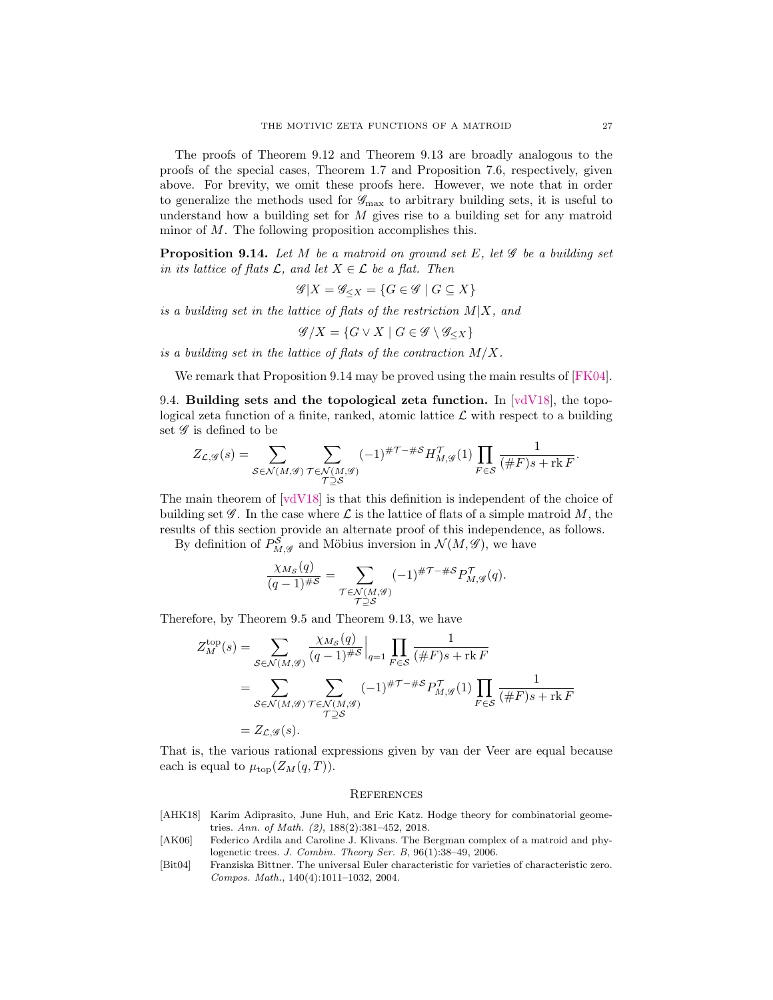The proofs of [Theorem 9.12](#page-25-0) and [Theorem 9.13](#page-25-1) are broadly analogous to the proofs of the special cases, [Theorem 1.7](#page-3-0) and [Proposition 7.6,](#page-20-0) respectively, given above. For brevity, we omit these proofs here. However, we note that in order to generalize the methods used for  $\mathscr{G}_{\text{max}}$  to arbitrary building sets, it is useful to understand how a building set for  $M$  gives rise to a building set for any matroid minor of M. The following proposition accomplishes this.

<span id="page-26-3"></span>**Proposition 9.14.** Let M be a matroid on ground set E, let  $\mathscr G$  be a building set in its lattice of flats  $\mathcal{L}$ , and let  $X \in \mathcal{L}$  be a flat. Then

$$
\mathscr{G}|X = \mathscr{G}_{\leq X} = \{ G \in \mathscr{G} \mid G \subseteq X \}
$$

is a building set in the lattice of flats of the restriction  $M|X$ , and

$$
\mathscr{G}/X = \{ G \vee X \mid G \in \mathscr{G} \setminus \mathscr{G}_{\leq X} \}
$$

is a building set in the lattice of flats of the contraction  $M/X$ .

We remark that [Proposition 9.14](#page-26-3) may be proved using the main results of [\[FK04\]](#page-27-12).

9.4. Building sets and the topological zeta function. In  $\lbrack \text{vdV18} \rbrack$ , the topological zeta function of a finite, ranked, atomic lattice  $\mathcal L$  with respect to a building set  $\mathscr G$  is defined to be

$$
Z_{\mathcal{L},\mathcal{G}}(s) = \sum_{\mathcal{S} \in \mathcal{N}(M,\mathcal{G})} \sum_{\substack{\mathcal{T} \in \mathcal{N}(M,\mathcal{G}) \\ \mathcal{T} \supseteq \mathcal{S}}} (-1)^{\# \mathcal{T} - \# \mathcal{S}} H_{M,\mathcal{G}}^{\mathcal{T}}(1) \prod_{F \in \mathcal{S}} \frac{1}{(\# F)s + \mathrm{rk}\, F}.
$$

The main theorem of [\[vdV18\]](#page-27-5) is that this definition is independent of the choice of building set  $\mathscr G$ . In the case where  $\mathscr L$  is the lattice of flats of a simple matroid M, the results of this section provide an alternate proof of this independence, as follows.

By definition of  $P_{M,\mathscr{G}}^{\mathcal{S}}$  and Möbius inversion in  $\mathcal{N}(M,\mathscr{G})$ , we have

$$
\frac{\chi_{M_{\mathcal{S}}}(q)}{(q-1)^{\# \mathcal{S}}} = \sum_{\substack{\mathcal{T} \in \mathcal{N}(M, \mathcal{G}) \\ \mathcal{T} \supseteq \mathcal{S}}} (-1)^{\# \mathcal{T} - \# \mathcal{S}} P_{M, \mathcal{G}}^{\mathcal{T}}(q).
$$

Therefore, by [Theorem 9.5](#page-23-0) and [Theorem 9.13,](#page-25-1) we have

$$
Z_M^{\text{top}}(s) = \sum_{\mathcal{S} \in \mathcal{N}(M, \mathcal{G})} \frac{\chi_{M\mathcal{S}}(q)}{(q-1)^{\#S}} \Big|_{q=1} \prod_{F \in \mathcal{S}} \frac{1}{(\#F)s + \text{rk }F}
$$
  
= 
$$
\sum_{\mathcal{S} \in \mathcal{N}(M, \mathcal{G})} \sum_{\substack{\mathcal{T} \in \mathcal{N}(M, \mathcal{G})}} (-1)^{\#T - \#S} P_{M, \mathcal{G}}^{\mathcal{T}}(1) \prod_{F \in \mathcal{S}} \frac{1}{(\#F)s + \text{rk }F}
$$
  
= 
$$
Z_{\mathcal{L}, \mathcal{G}}(s).
$$

That is, the various rational expressions given by van der Veer are equal because each is equal to  $\mu_{\text{top}}(Z_M(q,T)).$ 

## **REFERENCES**

- <span id="page-26-0"></span>[AHK18] Karim Adiprasito, June Huh, and Eric Katz. Hodge theory for combinatorial geometries. Ann. of Math. (2), 188(2):381–452, 2018.
- <span id="page-26-2"></span>[AK06] Federico Ardila and Caroline J. Klivans. The Bergman complex of a matroid and phylogenetic trees. J. Combin. Theory Ser. B, 96(1):38–49, 2006.
- <span id="page-26-1"></span>[Bit04] Franziska Bittner. The universal Euler characteristic for varieties of characteristic zero. Compos. Math., 140(4):1011–1032, 2004.